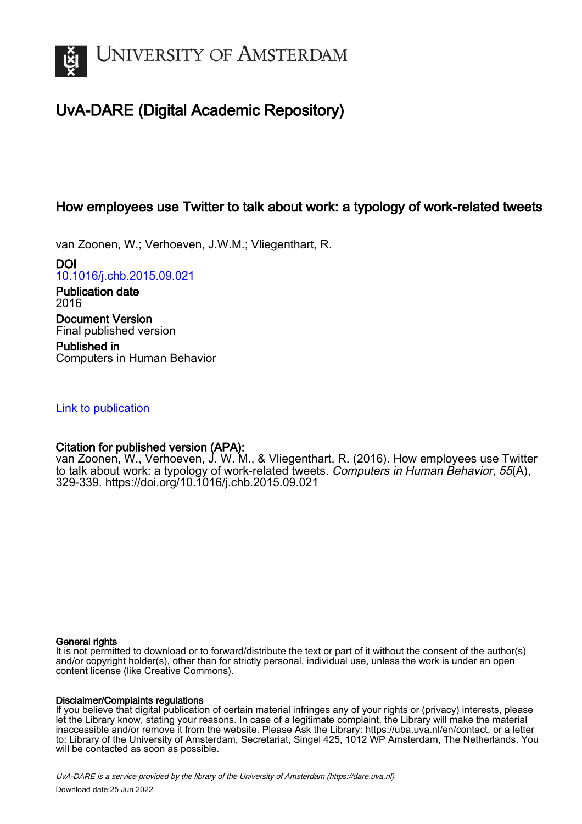

# UvA-DARE (Digital Academic Repository)

# How employees use Twitter to talk about work: a typology of work-related tweets

van Zoonen, W.; Verhoeven, J.W.M.; Vliegenthart, R.

DOI [10.1016/j.chb.2015.09.021](https://doi.org/10.1016/j.chb.2015.09.021)

Publication date 2016 Document Version Final published version

Published in Computers in Human Behavior

# [Link to publication](https://dare.uva.nl/personal/pure/en/publications/how-employees-use-twitter-to-talk-about-work-a-typology-of-workrelated-tweets(64e63e0c-f041-442e-b3e8-d488f949d6ab).html)

# Citation for published version (APA):

van Zoonen, W., Verhoeven, J. W. M., & Vliegenthart, R. (2016). How employees use Twitter to talk about work: a typology of work-related tweets. Computers in Human Behavior, 55(A), 329-339. <https://doi.org/10.1016/j.chb.2015.09.021>

# General rights

It is not permitted to download or to forward/distribute the text or part of it without the consent of the author(s) and/or copyright holder(s), other than for strictly personal, individual use, unless the work is under an open content license (like Creative Commons).

# Disclaimer/Complaints regulations

If you believe that digital publication of certain material infringes any of your rights or (privacy) interests, please let the Library know, stating your reasons. In case of a legitimate complaint, the Library will make the material inaccessible and/or remove it from the website. Please Ask the Library: https://uba.uva.nl/en/contact, or a letter to: Library of the University of Amsterdam, Secretariat, Singel 425, 1012 WP Amsterdam, The Netherlands. You will be contacted as soon as possible.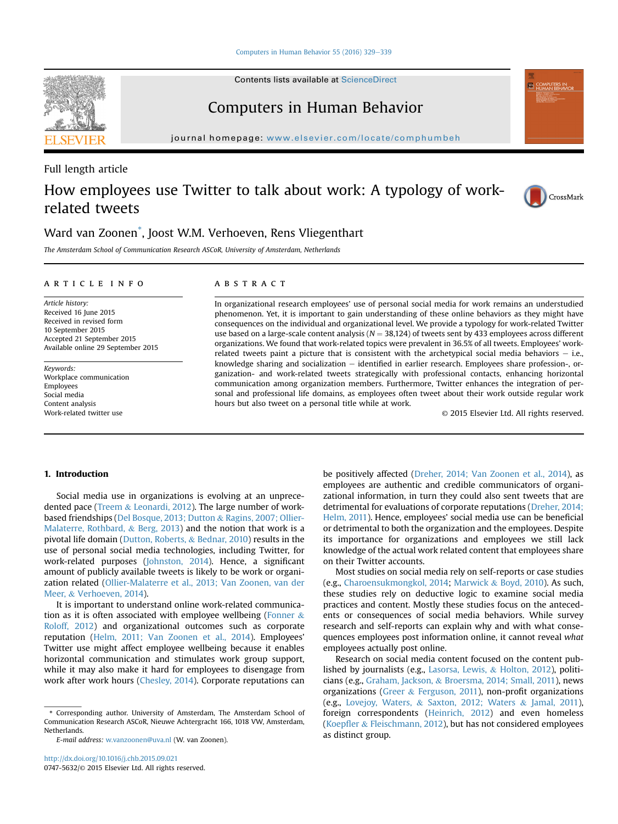[Computers in Human Behavior 55 \(2016\) 329](http://dx.doi.org/10.1016/j.chb.2015.09.021)-[339](http://dx.doi.org/10.1016/j.chb.2015.09.021)

Contents lists available at ScienceDirect

# Computers in Human Behavior

journal homepage: <www.elsevier.com/locate/comphumbeh>

# Full length article

# How employees use Twitter to talk about work: A typology of workrelated tweets



# Ward van Zoonen\* , Joost W.M. Verhoeven, Rens Vliegenthart

The Amsterdam School of Communication Research ASCoR, University of Amsterdam, Netherlands

# article info

Article history: Received 16 June 2015 Received in revised form 10 September 2015 Accepted 21 September 2015 Available online 29 September 2015

Keywords: Workplace communication Employees Social media Content analysis Work-related twitter use

# **ABSTRACT**

In organizational research employees' use of personal social media for work remains an understudied phenomenon. Yet, it is important to gain understanding of these online behaviors as they might have consequences on the individual and organizational level. We provide a typology for work-related Twitter use based on a large-scale content analysis ( $N = 38,124$ ) of tweets sent by 433 employees across different organizations. We found that work-related topics were prevalent in 36.5% of all tweets. Employees' workrelated tweets paint a picture that is consistent with the archetypical social media behaviors  $-$  i.e., knowledge sharing and socialization  $-$  identified in earlier research. Employees share profession-, organization- and work-related tweets strategically with professional contacts, enhancing horizontal communication among organization members. Furthermore, Twitter enhances the integration of personal and professional life domains, as employees often tweet about their work outside regular work hours but also tweet on a personal title while at work.

© 2015 Elsevier Ltd. All rights reserved.

# 1. Introduction

Social media use in organizations is evolving at an unprecedented pace [\(Treem](#page-11-0) & [Leonardi, 2012\)](#page-11-0). The large number of workbased friendships [\(Del Bosque, 2013; Dutton](#page-10-0) & [Ragins, 2007; Ollier-](#page-10-0)[Malaterre, Rothbard,](#page-10-0) & [Berg, 2013](#page-10-0)) and the notion that work is a pivotal life domain ([Dutton, Roberts,](#page-10-0) & [Bednar, 2010](#page-10-0)) results in the use of personal social media technologies, including Twitter, for work-related purposes [\(Johnston, 2014\)](#page-10-0). Hence, a significant amount of publicly available tweets is likely to be work or organization related ([Ollier-Malaterre et al., 2013; Van Zoonen, van der](#page-11-0) [Meer,](#page-11-0) & [Verhoeven, 2014](#page-11-0)).

It is important to understand online work-related communica-tion as it is often associated with employee wellbeing ([Fonner](#page-10-0)  $\&$ [Roloff, 2012](#page-10-0)) and organizational outcomes such as corporate reputation [\(Helm, 2011; Van Zoonen et al., 2014](#page-10-0)). Employees' Twitter use might affect employee wellbeing because it enables horizontal communication and stimulates work group support, while it may also make it hard for employees to disengage from work after work hours ([Chesley, 2014](#page-10-0)). Corporate reputations can

E-mail address: [w.vanzoonen@uva.nl](mailto:w.vanzoonen@uva.nl) (W. van Zoonen).

be positively affected ([Dreher, 2014; Van Zoonen et al., 2014\)](#page-10-0), as employees are authentic and credible communicators of organizational information, in turn they could also sent tweets that are detrimental for evaluations of corporate reputations ([Dreher, 2014;](#page-10-0) [Helm, 2011](#page-10-0)). Hence, employees' social media use can be beneficial or detrimental to both the organization and the employees. Despite its importance for organizations and employees we still lack knowledge of the actual work related content that employees share on their Twitter accounts.

Most studies on social media rely on self-reports or case studies (e.g., [Charoensukmongkol, 2014](#page-10-0); [Marwick](#page-11-0) & [Boyd, 2010](#page-11-0)). As such, these studies rely on deductive logic to examine social media practices and content. Mostly these studies focus on the antecedents or consequences of social media behaviors. While survey research and self-reports can explain why and with what consequences employees post information online, it cannot reveal what employees actually post online.

Research on social media content focused on the content published by journalists (e.g., [Lasorsa, Lewis,](#page-10-0) & [Holton, 2012](#page-10-0)), politicians (e.g., [Graham, Jackson,](#page-10-0) & [Broersma, 2014; Small, 2011](#page-10-0)), news organizations [\(Greer](#page-10-0) & [Ferguson, 2011\)](#page-10-0), non-profit organizations (e.g., [Lovejoy, Waters,](#page-11-0) & [Saxton, 2012; Waters](#page-11-0) & [Jamal, 2011\)](#page-11-0), foreign correspondents ([Heinrich, 2012](#page-10-0)) and even homeless ([Koep](#page-10-0)fler & [Fleischmann, 2012](#page-10-0)), but has not considered employees as distinct group.



<sup>\*</sup> Corresponding author. University of Amsterdam, The Amsterdam School of Communication Research ASCoR, Nieuwe Achtergracht 166, 1018 VW, Amsterdam, Netherlands.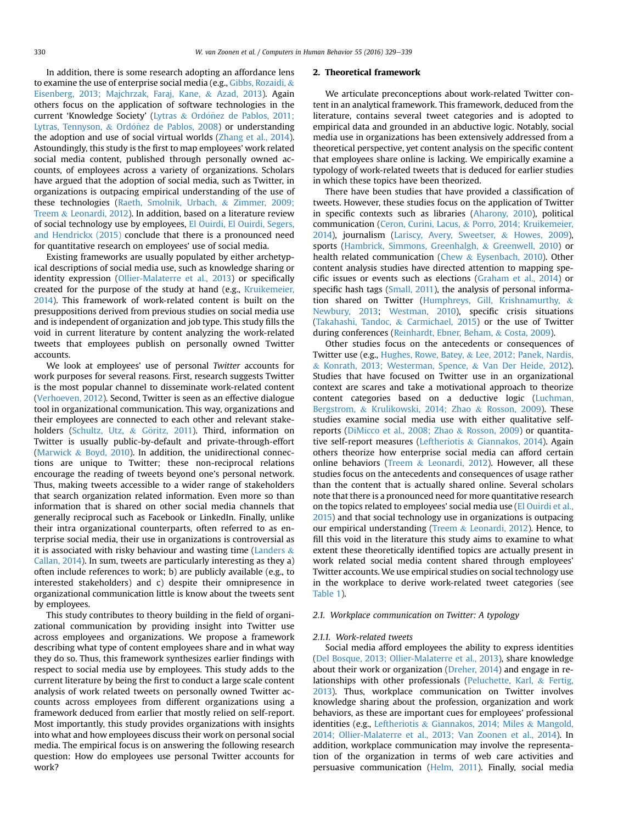In addition, there is some research adopting an affordance lens to examine the use of enterprise social media (e.g., [Gibbs, Rozaidi,](#page-10-0) & [Eisenberg, 2013; Majchrzak, Faraj, Kane,](#page-10-0) & [Azad, 2013\)](#page-10-0). Again others focus on the application of software technologies in the current 'Knowledge Society' [\(Lytras](#page-11-0) & [Ord](#page-11-0)óñez de Pablos, 2011; [Lytras, Tennyson,](#page-11-0) & [Ord](#page-11-0)óñez de Pablos, 2008) or understanding the adoption and use of social virtual worlds [\(Zhang et al., 2014\)](#page-11-0). Astoundingly, this study is the first to map employees' work related social media content, published through personally owned accounts, of employees across a variety of organizations. Scholars have argued that the adoption of social media, such as Twitter, in organizations is outpacing empirical understanding of the use of these technologies ([Raeth, Smolnik, Urbach,](#page-11-0) & [Zimmer, 2009;](#page-11-0) [Treem](#page-11-0) & [Leonardi, 2012\)](#page-11-0). In addition, based on a literature review of social technology use by employees, [El Ouirdi, El Ouirdi, Segers,](#page-10-0) [and Hendrickx \(2015\)](#page-10-0) conclude that there is a pronounced need for quantitative research on employees' use of social media.

Existing frameworks are usually populated by either archetypical descriptions of social media use, such as knowledge sharing or identity expression [\(Ollier-Malaterre et al., 2013\)](#page-11-0) or specifically created for the purpose of the study at hand (e.g., [Kruikemeier,](#page-10-0) [2014](#page-10-0)). This framework of work-related content is built on the presuppositions derived from previous studies on social media use and is independent of organization and job type. This study fills the void in current literature by content analyzing the work-related tweets that employees publish on personally owned Twitter accounts.

We look at employees' use of personal Twitter accounts for work purposes for several reasons. First, research suggests Twitter is the most popular channel to disseminate work-related content ([Verhoeven, 2012](#page-11-0)). Second, Twitter is seen as an effective dialogue tool in organizational communication. This way, organizations and their employees are connected to each other and relevant stake-holders ([Schultz, Utz,](#page-11-0) & Göritz, 2011). Third, information on Twitter is usually public-by-default and private-through-effort ([Marwick](#page-11-0) & [Boyd, 2010\)](#page-11-0). In addition, the unidirectional connections are unique to Twitter; these non-reciprocal relations encourage the reading of tweets beyond one's personal network. Thus, making tweets accessible to a wider range of stakeholders that search organization related information. Even more so than information that is shared on other social media channels that generally reciprocal such as Facebook or LinkedIn. Finally, unlike their intra organizational counterparts, often referred to as enterprise social media, their use in organizations is controversial as it is associated with risky behaviour and wasting time [\(Landers](#page-10-0)  $\&$ [Callan, 2014\)](#page-10-0). In sum, tweets are particularly interesting as they a) often include references to work; b) are publicly available (e.g., to interested stakeholders) and c) despite their omnipresence in organizational communication little is know about the tweets sent by employees.

This study contributes to theory building in the field of organizational communication by providing insight into Twitter use across employees and organizations. We propose a framework describing what type of content employees share and in what way they do so. Thus, this framework synthesizes earlier findings with respect to social media use by employees. This study adds to the current literature by being the first to conduct a large scale content analysis of work related tweets on personally owned Twitter accounts across employees from different organizations using a framework deduced from earlier that mostly relied on self-report. Most importantly, this study provides organizations with insights into what and how employees discuss their work on personal social media. The empirical focus is on answering the following research question: How do employees use personal Twitter accounts for work?

#### 2. Theoretical framework

We articulate preconceptions about work-related Twitter content in an analytical framework. This framework, deduced from the literature, contains several tweet categories and is adopted to empirical data and grounded in an abductive logic. Notably, social media use in organizations has been extensively addressed from a theoretical perspective, yet content analysis on the specific content that employees share online is lacking. We empirically examine a typology of work-related tweets that is deduced for earlier studies in which these topics have been theorized.

There have been studies that have provided a classification of tweets. However, these studies focus on the application of Twitter in specific contexts such as libraries ([Aharony, 2010\)](#page-10-0), political communication ([Ceron, Curini, Lacus,](#page-10-0) & [Porro, 2014; Kruikemeier,](#page-10-0) [2014\)](#page-10-0), journalism ([Lariscy, Avery, Sweetser,](#page-10-0) & [Howes, 2009\)](#page-10-0), sports ([Hambrick, Simmons, Greenhalgh,](#page-10-0) & [Greenwell, 2010\)](#page-10-0) or health related communication ([Chew](#page-10-0) & [Eysenbach, 2010\)](#page-10-0). Other content analysis studies have directed attention to mapping specific issues or events such as elections ([Graham et al., 2014](#page-10-0)) or specific hash tags ([Small, 2011](#page-11-0)), the analysis of personal information shared on Twitter ([Humphreys, Gill, Krishnamurthy,](#page-10-0) & [Newbury, 2013](#page-10-0); [Westman, 2010](#page-11-0)), specific crisis situations ([Takahashi, Tandoc,](#page-11-0) & [Carmichael, 2015](#page-11-0)) or the use of Twitter during conferences ([Reinhardt, Ebner, Beham,](#page-11-0) & [Costa, 2009\)](#page-11-0).

Other studies focus on the antecedents or consequences of Twitter use (e.g., [Hughes, Rowe, Batey,](#page-10-0) & [Lee, 2012; Panek, Nardis,](#page-10-0) & [Konrath, 2013; Westerman, Spence,](#page-10-0) & [Van Der Heide, 2012\)](#page-10-0). Studies that have focused on Twitter use in an organizational context are scares and take a motivational approach to theorize content categories based on a deductive logic [\(Luchman,](#page-11-0) [Bergstrom,](#page-11-0) & [Krulikowski, 2014; Zhao](#page-11-0) & [Rosson, 2009\)](#page-11-0). These studies examine social media use with either qualitative selfreports [\(DiMicco et al., 2008; Zhao](#page-10-0) & [Rosson, 2009\)](#page-10-0) or quantitative self-report measures ([Leftheriotis](#page-10-0) & [Giannakos, 2014](#page-10-0)). Again others theorize how enterprise social media can afford certain online behaviors ([Treem](#page-11-0) & [Leonardi, 2012](#page-11-0)). However, all these studies focus on the antecedents and consequences of usage rather than the content that is actually shared online. Several scholars note that there is a pronounced need for more quantitative research on the topics related to employees' social media use ([El Ouirdi et al.,](#page-10-0) [2015\)](#page-10-0) and that social technology use in organizations is outpacing our empirical understanding [\(Treem](#page-11-0) & [Leonardi, 2012](#page-11-0)). Hence, to fill this void in the literature this study aims to examine to what extent these theoretically identified topics are actually present in work related social media content shared through employees' Twitter accounts. We use empirical studies on social technology use in the workplace to derive work-related tweet categories (see [Table 1\)](#page-3-0).

# 2.1. Workplace communication on Twitter: A typology

# 2.1.1. Work-related tweets

Social media afford employees the ability to express identities ([Del Bosque, 2013; Ollier-Malaterre et al., 2013](#page-10-0)), share knowledge about their work or organization [\(Dreher, 2014](#page-10-0)) and engage in relationships with other professionals ([Peluchette, Karl,](#page-11-0) & [Fertig,](#page-11-0) [2013\)](#page-11-0). Thus, workplace communication on Twitter involves knowledge sharing about the profession, organization and work behaviors, as these are important cues for employees' professional identities (e.g., [Leftheriotis](#page-10-0) & [Giannakos, 2014; Miles](#page-10-0) & [Mangold,](#page-10-0) [2014; Ollier-Malaterre et al., 2013; Van Zoonen et al., 2014](#page-10-0)). In addition, workplace communication may involve the representation of the organization in terms of web care activities and persuasive communication ([Helm, 2011\)](#page-10-0). Finally, social media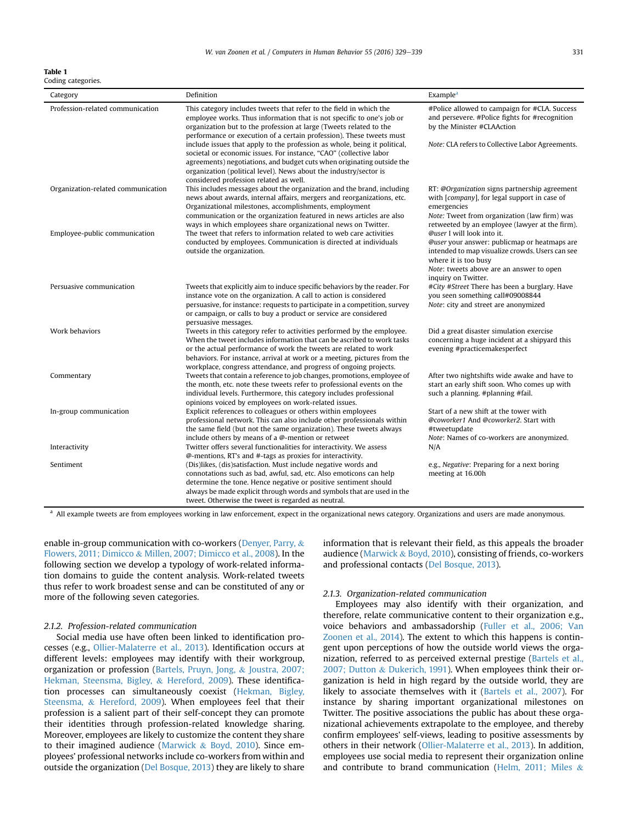# <span id="page-3-0"></span>Table 1

|  | Coding categories. |
|--|--------------------|
|--|--------------------|

| Category                           | Definition                                                                                                                                                                                                                                                                                                                                                            | Example <sup>a</sup>                                                                                                                                                                                                                                                       |
|------------------------------------|-----------------------------------------------------------------------------------------------------------------------------------------------------------------------------------------------------------------------------------------------------------------------------------------------------------------------------------------------------------------------|----------------------------------------------------------------------------------------------------------------------------------------------------------------------------------------------------------------------------------------------------------------------------|
| Profession-related communication   | This category includes tweets that refer to the field in which the<br>employee works. Thus information that is not specific to one's job or<br>organization but to the profession at large (Tweets related to the<br>performance or execution of a certain profession). These tweets must                                                                             | #Police allowed to campaign for #CLA. Success<br>and persevere. #Police fights for #recognition<br>by the Minister #CLAAction                                                                                                                                              |
|                                    | include issues that apply to the profession as whole, being it political,<br>societal or economic issues. For instance, "CAO" (collective labor<br>agreements) negotiations, and budget cuts when originating outside the<br>organization (political level). News about the industry/sector is<br>considered profession related as well.                              | Note: CLA refers to Collective Labor Agreements.                                                                                                                                                                                                                           |
| Organization-related communication | This includes messages about the organization and the brand, including<br>news about awards, internal affairs, mergers and reorganizations, etc.<br>Organizational milestones, accomplishments, employment<br>communication or the organization featured in news articles are also                                                                                    | RT: @Organization signs partnership agreement<br>with [company], for legal support in case of<br>emergencies<br>Note: Tweet from organization (law firm) was                                                                                                               |
| Employee-public communication      | ways in which employees share organizational news on Twitter.<br>The tweet that refers to information related to web care activities<br>conducted by employees. Communication is directed at individuals<br>outside the organization.                                                                                                                                 | retweeted by an employee (lawyer at the firm).<br>@user I will look into it.<br>@user your answer: publicmap or heatmaps are<br>intended to map visualize crowds. Users can see<br>where it is too busy<br>Note: tweets above are an answer to open<br>inquiry on Twitter. |
| Persuasive communication           | Tweets that explicitly aim to induce specific behaviors by the reader. For<br>instance vote on the organization. A call to action is considered<br>persuasive, for instance: requests to participate in a competition, survey<br>or campaign, or calls to buy a product or service are considered<br>persuasive messages.                                             | #City #Street There has been a burglary. Have<br>you seen something call#09008844<br>Note: city and street are anonymized                                                                                                                                                  |
| Work behaviors                     | Tweets in this category refer to activities performed by the employee.<br>When the tweet includes information that can be ascribed to work tasks<br>or the actual performance of work the tweets are related to work<br>behaviors. For instance, arrival at work or a meeting, pictures from the<br>workplace, congress attendance, and progress of ongoing projects. | Did a great disaster simulation exercise<br>concerning a huge incident at a shipyard this<br>evening #practicemakesperfect                                                                                                                                                 |
| Commentary                         | Tweets that contain a reference to job changes, promotions, employee of<br>the month, etc. note these tweets refer to professional events on the                                                                                                                                                                                                                      | After two nightshifts wide awake and have to<br>start an early shift soon. Who comes up with                                                                                                                                                                               |

such a planning. #planning #fail. Start of a new shift at the tower with

@coworker1 And @coworker2. Start with #tweetupdate Note: Names of co-workers are anonymized.

N/A

e.g., Negative: Preparing for a next boring meeting at 16.00h

<sup>a</sup> All example tweets are from employees working in law enforcement, expect in the organizational news category. Organizations and users are made anonymous.

individual levels. Furthermore, this category includes professional

connotations such as bad, awful, sad, etc. Also emoticons can help determine the tone. Hence negative or positive sentiment should always be made explicit through words and symbols that are used in the

professional network. This can also include other professionals within the same field (but not the same organization). These tweets always

opinions voiced by employees on work-related issues.

include others by means of a @-mention or retweet

tweet. Otherwise the tweet is regarded as neutral.

@-mentions, RT's and #-tags as proxies for interactivity.

In-group communication Explicit references to colleagues or others within employees

Interactivity Twitter offers several functionalities for interactivity. We assess

Sentiment (Dis)likes, (dis)satisfaction. Must include negative words and

enable in-group communication with co-workers [\(Denyer, Parry,](#page-10-0) & [Flowers, 2011; Dimicco](#page-10-0) & [Millen, 2007; Dimicco et al., 2008\)](#page-10-0). In the following section we develop a typology of work-related information domains to guide the content analysis. Work-related tweets thus refer to work broadest sense and can be constituted of any or more of the following seven categories.

### 2.1.2. Profession-related communication

Social media use have often been linked to identification processes (e.g., [Ollier-Malaterre et al., 2013\)](#page-11-0). Identification occurs at different levels: employees may identify with their workgroup, organization or profession [\(Bartels, Pruyn, Jong,](#page-10-0) & [Joustra, 2007;](#page-10-0) [Hekman, Steensma, Bigley,](#page-10-0) & [Hereford, 2009](#page-10-0)). These identification processes can simultaneously coexist [\(Hekman, Bigley,](#page-10-0) [Steensma,](#page-10-0) & [Hereford, 2009](#page-10-0)). When employees feel that their profession is a salient part of their self-concept they can promote their identities through profession-related knowledge sharing. Moreover, employees are likely to customize the content they share to their imagined audience ([Marwick](#page-11-0) & [Boyd, 2010\)](#page-11-0). Since employees' professional networks include co-workers from within and outside the organization [\(Del Bosque, 2013](#page-10-0)) they are likely to share information that is relevant their field, as this appeals the broader audience [\(Marwick](#page-11-0) & [Boyd, 2010](#page-11-0)), consisting of friends, co-workers and professional contacts [\(Del Bosque, 2013\)](#page-10-0).

# 2.1.3. Organization-related communication

Employees may also identify with their organization, and therefore, relate communicative content to their organization e.g., voice behaviors and ambassadorship [\(Fuller et al., 2006; Van](#page-10-0) [Zoonen et al., 2014\)](#page-10-0). The extent to which this happens is contingent upon perceptions of how the outside world views the organization, referred to as perceived external prestige ([Bartels et al.,](#page-10-0) [2007; Dutton](#page-10-0) & [Dukerich, 1991](#page-10-0)). When employees think their organization is held in high regard by the outside world, they are likely to associate themselves with it ([Bartels et al., 2007](#page-10-0)). For instance by sharing important organizational milestones on Twitter. The positive associations the public has about these organizational achievements extrapolate to the employee, and thereby confirm employees' self-views, leading to positive assessments by others in their network ([Ollier-Malaterre et al., 2013](#page-11-0)). In addition, employees use social media to represent their organization online and contribute to brand communication [\(Helm, 2011; Miles](#page-10-0)  $\&$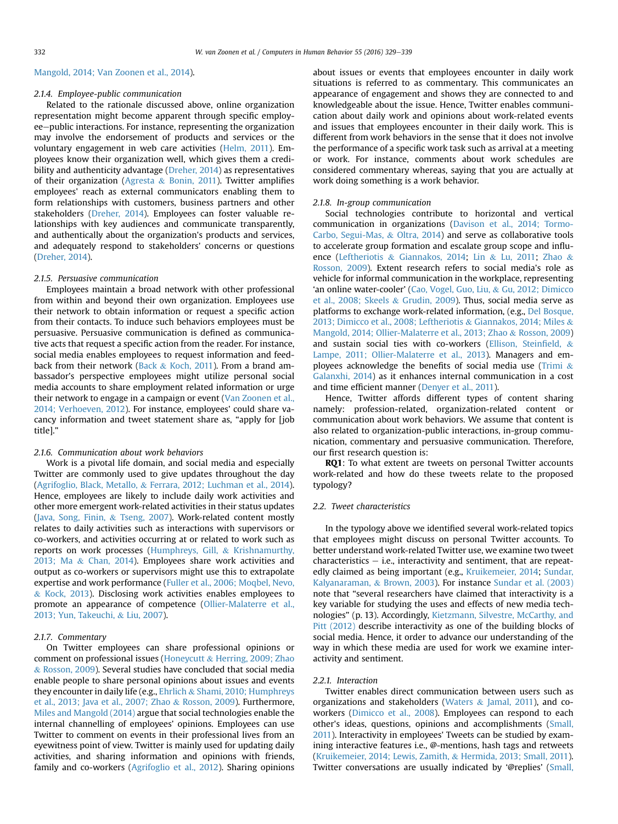# [Mangold, 2014; Van Zoonen et al., 2014\)](#page-10-0).

## 2.1.4. Employee-public communication

Related to the rationale discussed above, online organization representation might become apparent through specific employee-public interactions. For instance, representing the organization may involve the endorsement of products and services or the voluntary engagement in web care activities [\(Helm, 2011](#page-10-0)). Employees know their organization well, which gives them a credibility and authenticity advantage [\(Dreher, 2014\)](#page-10-0) as representatives of their organization ([Agresta](#page-10-0) & [Bonin, 2011\)](#page-10-0). Twitter amplifies employees' reach as external communicators enabling them to form relationships with customers, business partners and other stakeholders [\(Dreher, 2014\)](#page-10-0). Employees can foster valuable relationships with key audiences and communicate transparently, and authentically about the organization's products and services, and adequately respond to stakeholders' concerns or questions ([Dreher, 2014](#page-10-0)).

#### 2.1.5. Persuasive communication

Employees maintain a broad network with other professional from within and beyond their own organization. Employees use their network to obtain information or request a specific action from their contacts. To induce such behaviors employees must be persuasive. Persuasive communication is defined as communicative acts that request a specific action from the reader. For instance, social media enables employees to request information and feed-back from their network ([Back](#page-10-0)  $&$  [Koch, 2011](#page-10-0)). From a brand ambassador's perspective employees might utilize personal social media accounts to share employment related information or urge their network to engage in a campaign or event ([Van Zoonen et al.,](#page-11-0) [2014; Verhoeven, 2012\)](#page-11-0). For instance, employees' could share vacancy information and tweet statement share as, "apply for [job title]."

#### 2.1.6. Communication about work behaviors

Work is a pivotal life domain, and social media and especially Twitter are commonly used to give updates throughout the day ([Agrifoglio, Black, Metallo,](#page-10-0) & [Ferrara, 2012; Luchman et al., 2014\)](#page-10-0). Hence, employees are likely to include daily work activities and other more emergent work-related activities in their status updates ([Java, Song, Finin,](#page-10-0) & [Tseng, 2007\)](#page-10-0). Work-related content mostly relates to daily activities such as interactions with supervisors or co-workers, and activities occurring at or related to work such as reports on work processes [\(Humphreys, Gill,](#page-10-0) & [Krishnamurthy,](#page-10-0) [2013; Ma](#page-10-0) & [Chan, 2014\)](#page-10-0). Employees share work activities and output as co-workers or supervisors might use this to extrapolate expertise and work performance ([Fuller et al., 2006; Moqbel, Nevo,](#page-10-0) & [Kock, 2013\)](#page-10-0). Disclosing work activities enables employees to promote an appearance of competence ([Ollier-Malaterre et al.,](#page-11-0) [2013; Yun, Takeuchi,](#page-11-0) & [Liu, 2007](#page-11-0)).

# 2.1.7. Commentary

On Twitter employees can share professional opinions or comment on professional issues [\(Honeycutt](#page-10-0) & [Herring, 2009; Zhao](#page-10-0) & [Rosson, 2009\)](#page-10-0). Several studies have concluded that social media enable people to share personal opinions about issues and events they encounter in daily life (e.g., [Ehrlich](#page-10-0) & [Shami, 2010; Humphreys](#page-10-0) [et al., 2013; Java et al., 2007; Zhao](#page-10-0) & [Rosson, 2009](#page-10-0)). Furthermore, [Miles and Mangold \(2014\)](#page-11-0) argue that social technologies enable the internal channelling of employees' opinions. Employees can use Twitter to comment on events in their professional lives from an eyewitness point of view. Twitter is mainly used for updating daily activities, and sharing information and opinions with friends, family and co-workers ([Agrifoglio et al., 2012\)](#page-10-0). Sharing opinions about issues or events that employees encounter in daily work situations is referred to as commentary. This communicates an appearance of engagement and shows they are connected to and knowledgeable about the issue. Hence, Twitter enables communication about daily work and opinions about work-related events and issues that employees encounter in their daily work. This is different from work behaviors in the sense that it does not involve the performance of a specific work task such as arrival at a meeting or work. For instance, comments about work schedules are considered commentary whereas, saying that you are actually at work doing something is a work behavior.

## 2.1.8. In-group communication

Social technologies contribute to horizontal and vertical communication in organizations ([Davison et al., 2014; Tormo-](#page-10-0)[Carbo, Segui-Mas,](#page-10-0) & [Oltra, 2014\)](#page-10-0) and serve as collaborative tools to accelerate group formation and escalate group scope and influence ([Leftheriotis](#page-10-0) & [Giannakos, 2014;](#page-10-0) [Lin](#page-10-0) & [Lu, 2011](#page-10-0); [Zhao](#page-11-0) & [Rosson, 2009\)](#page-11-0). Extent research refers to social media's role as vehicle for informal communication in the workplace, representing 'an online water-cooler' [\(Cao, Vogel, Guo, Liu,](#page-10-0) & [Gu, 2012; Dimicco](#page-10-0) [et al., 2008; Skeels](#page-10-0) & [Grudin, 2009\)](#page-10-0). Thus, social media serve as platforms to exchange work-related information, (e.g., [Del Bosque,](#page-10-0) [2013; Dimicco et al., 2008; Leftheriotis](#page-10-0) & [Giannakos, 2014; Miles](#page-10-0) & [Mangold, 2014; Ollier-Malaterre et al., 2013; Zhao](#page-10-0) & [Rosson, 2009\)](#page-10-0) and sustain social ties with co-workers ([Ellison, Stein](#page-10-0)field, & [Lampe, 2011; Ollier-Malaterre et al., 2013](#page-10-0)). Managers and em-ployees acknowledge the benefits of social media use [\(Trimi](#page-11-0)  $\&$ [Galanxhi, 2014\)](#page-11-0) as it enhances internal communication in a cost and time efficient manner [\(Denyer et al., 2011](#page-10-0)).

Hence, Twitter affords different types of content sharing namely: profession-related, organization-related content or communication about work behaviors. We assume that content is also related to organization-public interactions, in-group communication, commentary and persuasive communication. Therefore, our first research question is:

RQ1: To what extent are tweets on personal Twitter accounts work-related and how do these tweets relate to the proposed typology?

# 2.2. Tweet characteristics

In the typology above we identified several work-related topics that employees might discuss on personal Twitter accounts. To better understand work-related Twitter use, we examine two tweet  $characteristics - i.e.,$  interactivity and sentiment, that are repeatedly claimed as being important (e.g., [Kruikemeier, 2014;](#page-10-0) [Sundar,](#page-11-0) [Kalyanaraman,](#page-11-0) & [Brown, 2003\)](#page-11-0). For instance [Sundar et al. \(2003\)](#page-11-0) note that "several researchers have claimed that interactivity is a key variable for studying the uses and effects of new media technologies" (p. 13). Accordingly, [Kietzmann, Silvestre, McCarthy, and](#page-10-0) [Pitt \(2012\)](#page-10-0) describe interactivity as one of the building blocks of social media. Hence, it order to advance our understanding of the way in which these media are used for work we examine interactivity and sentiment.

### 2.2.1. Interaction

Twitter enables direct communication between users such as organizations and stakeholders [\(Waters](#page-11-0)  $\&$  [Jamal, 2011](#page-11-0)), and coworkers ([Dimicco et al., 2008\)](#page-10-0). Employees can respond to each other's ideas, questions, opinions and accomplishments ([Small,](#page-11-0) [2011\)](#page-11-0). Interactivity in employees' Tweets can be studied by examining interactive features i.e., @-mentions, hash tags and retweets ([Kruikemeier, 2014; Lewis, Zamith,](#page-10-0) & [Hermida, 2013; Small, 2011\)](#page-10-0). Twitter conversations are usually indicated by '@replies' ([Small,](#page-11-0)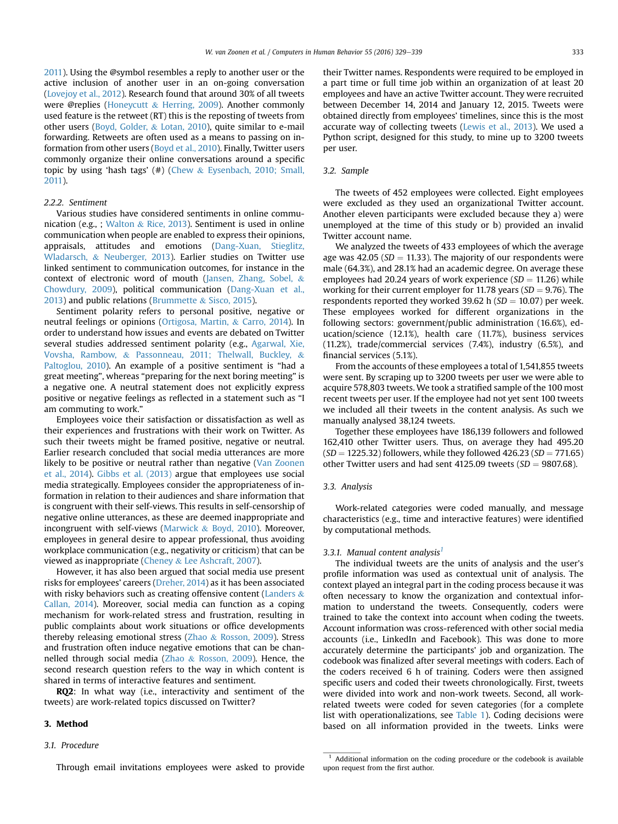[2011](#page-11-0)). Using the @symbol resembles a reply to another user or the active inclusion of another user in an on-going conversation ([Lovejoy et al., 2012\)](#page-11-0). Research found that around 30% of all tweets were @replies ([Honeycutt](#page-10-0) & [Herring, 2009](#page-10-0)). Another commonly used feature is the retweet (RT) this is the reposting of tweets from other users ([Boyd, Golder,](#page-10-0) & [Lotan, 2010](#page-10-0)), quite similar to e-mail forwarding. Retweets are often used as a means to passing on information from other users ([Boyd et al., 2010](#page-10-0)). Finally, Twitter users commonly organize their online conversations around a specific topic by using 'hash tags' (#) [\(Chew](#page-10-0) & [Eysenbach, 2010; Small,](#page-10-0) [2011](#page-10-0)).

# 2.2.2. Sentiment

Various studies have considered sentiments in online communication (e.g., ; [Walton](#page-11-0) & [Rice, 2013](#page-11-0)). Sentiment is used in online communication when people are enabled to express their opinions, appraisals, attitudes and emotions [\(Dang-Xuan, Stieglitz,](#page-10-0) [Wladarsch,](#page-10-0) & [Neuberger, 2013](#page-10-0)). Earlier studies on Twitter use linked sentiment to communication outcomes, for instance in the context of electronic word of mouth ([Jansen, Zhang, Sobel,](#page-10-0) & [Chowdury, 2009](#page-10-0)), political communication [\(Dang-Xuan et al.,](#page-10-0) [2013\)](#page-10-0) and public relations [\(Brummette](#page-10-0) & [Sisco, 2015\)](#page-10-0).

Sentiment polarity refers to personal positive, negative or neutral feelings or opinions [\(Ortigosa, Martin,](#page-11-0) & [Carro, 2014\)](#page-11-0). In order to understand how issues and events are debated on Twitter several studies addressed sentiment polarity (e.g., [Agarwal, Xie,](#page-10-0) [Vovsha, Rambow,](#page-10-0) & [Passonneau, 2011; Thelwall, Buckley,](#page-10-0) & [Paltoglou, 2010\)](#page-10-0). An example of a positive sentiment is "had a great meeting", whereas "preparing for the next boring meeting" is a negative one. A neutral statement does not explicitly express positive or negative feelings as reflected in a statement such as "I am commuting to work."

Employees voice their satisfaction or dissatisfaction as well as their experiences and frustrations with their work on Twitter. As such their tweets might be framed positive, negative or neutral. Earlier research concluded that social media utterances are more likely to be positive or neutral rather than negative ([Van Zoonen](#page-11-0) [et al., 2014](#page-11-0)). [Gibbs et al. \(2013\)](#page-10-0) argue that employees use social media strategically. Employees consider the appropriateness of information in relation to their audiences and share information that is congruent with their self-views. This results in self-censorship of negative online utterances, as these are deemed inappropriate and incongruent with self-views ([Marwick](#page-11-0) & [Boyd, 2010](#page-11-0)). Moreover, employees in general desire to appear professional, thus avoiding workplace communication (e.g., negativity or criticism) that can be viewed as inappropriate ([Cheney](#page-10-0) & [Lee Ashcraft, 2007](#page-10-0)).

However, it has also been argued that social media use present risks for employees' careers [\(Dreher, 2014](#page-10-0)) as it has been associated with risky behaviors such as creating offensive content [\(Landers](#page-10-0) & [Callan, 2014](#page-10-0)). Moreover, social media can function as a coping mechanism for work-related stress and frustration, resulting in public complaints about work situations or office developments thereby releasing emotional stress [\(Zhao](#page-11-0) & [Rosson, 2009](#page-11-0)). Stress and frustration often induce negative emotions that can be channelled through social media [\(Zhao](#page-11-0) & [Rosson, 2009](#page-11-0)). Hence, the second research question refers to the way in which content is shared in terms of interactive features and sentiment.

RQ2: In what way (i.e., interactivity and sentiment of the tweets) are work-related topics discussed on Twitter?

#### 3. Method

# 3.1. Procedure

Through email invitations employees were asked to provide

their Twitter names. Respondents were required to be employed in a part time or full time job within an organization of at least 20 employees and have an active Twitter account. They were recruited between December 14, 2014 and January 12, 2015. Tweets were obtained directly from employees' timelines, since this is the most accurate way of collecting tweets ([Lewis et al., 2013](#page-10-0)). We used a Python script, designed for this study, to mine up to 3200 tweets per user.

# 3.2. Sample

The tweets of 452 employees were collected. Eight employees were excluded as they used an organizational Twitter account. Another eleven participants were excluded because they a) were unemployed at the time of this study or b) provided an invalid Twitter account name.

We analyzed the tweets of 433 employees of which the average age was 42.05 ( $SD = 11.33$ ). The majority of our respondents were male (64.3%), and 28.1% had an academic degree. On average these employees had 20.24 years of work experience  $(SD = 11.26)$  while working for their current employer for 11.78 years ( $SD = 9.76$ ). The respondents reported they worked 39.62 h ( $SD = 10.07$ ) per week. These employees worked for different organizations in the following sectors: government/public administration (16.6%), education/science (12.1%), health care (11.7%), business services (11.2%), trade/commercial services (7.4%), industry (6.5%), and financial services (5.1%).

From the accounts of these employees a total of 1,541,855 tweets were sent. By scraping up to 3200 tweets per user we were able to acquire 578,803 tweets. We took a stratified sample of the 100 most recent tweets per user. If the employee had not yet sent 100 tweets we included all their tweets in the content analysis. As such we manually analysed 38,124 tweets.

Together these employees have 186,139 followers and followed 162,410 other Twitter users. Thus, on average they had 495.20  $(SD = 1225.32)$  followers, while they followed 426.23  $(SD = 771.65)$ other Twitter users and had sent 4125.09 tweets  $SD = 9807.68$ ).

# 3.3. Analysis

Work-related categories were coded manually, and message characteristics (e.g., time and interactive features) were identified by computational methods.

### 3.3.1. Manual content analysis $<sup>1</sup>$ </sup>

The individual tweets are the units of analysis and the user's profile information was used as contextual unit of analysis. The context played an integral part in the coding process because it was often necessary to know the organization and contextual information to understand the tweets. Consequently, coders were trained to take the context into account when coding the tweets. Account information was cross-referenced with other social media accounts (i.e., LinkedIn and Facebook). This was done to more accurately determine the participants' job and organization. The codebook was finalized after several meetings with coders. Each of the coders received 6 h of training. Coders were then assigned specific users and coded their tweets chronologically. First, tweets were divided into work and non-work tweets. Second, all workrelated tweets were coded for seven categories (for a complete list with operationalizations, see [Table 1\)](#page-3-0). Coding decisions were based on all information provided in the tweets. Links were

 $1$  Additional information on the coding procedure or the codebook is available upon request from the first author.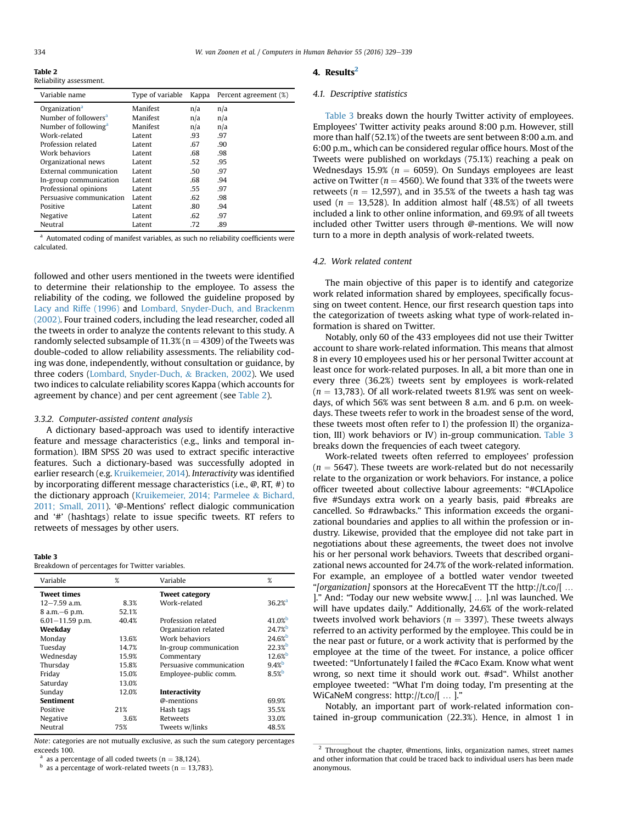# <span id="page-6-0"></span>Table 2

Reliability assessment.

| Variable name                    | Type of variable | Kappa | Percent agreement (%) |
|----------------------------------|------------------|-------|-----------------------|
| Organization <sup>a</sup>        | Manifest         | n/a   | n/a                   |
| Number of followers <sup>a</sup> | Manifest         | n/a   | n/a                   |
| Number of following <sup>a</sup> | Manifest         | n/a   | n/a                   |
| Work-related                     | Latent           | .93   | .97                   |
| Profession related               | Latent           | .67   | .90                   |
| Work behaviors                   | Latent           | .68   | .98                   |
| Organizational news              | Latent           | .52   | .95                   |
| External communication           | Latent           | .50   | .97                   |
| In-group communication           | Latent           | .68   | .94                   |
| Professional opinions            | Latent           | .55   | .97                   |
| Persuasive communication         | Latent           | .62   | .98                   |
| Positive                         | Latent           | .80   | .94                   |
| Negative                         | Latent           | .62   | .97                   |
| Neutral                          | Latent           | .72   | .89                   |

<sup>a</sup> Automated coding of manifest variables, as such no reliability coefficients were calculated.

followed and other users mentioned in the tweets were identified to determine their relationship to the employee. To assess the reliability of the coding, we followed the guideline proposed by [Lacy and Riffe \(1996\)](#page-10-0) and [Lombard, Snyder-Duch, and Brackenm](#page-11-0) [\(2002\)](#page-11-0). Four trained coders, including the lead researcher, coded all the tweets in order to analyze the contents relevant to this study. A randomly selected subsample of 11.3% ( $n = 4309$ ) of the Tweets was double-coded to allow reliability assessments. The reliability coding was done, independently, without consultation or guidance, by three coders ([Lombard, Snyder-Duch,](#page-11-0) & [Bracken, 2002](#page-11-0)). We used two indices to calculate reliability scores Kappa (which accounts for agreement by chance) and per cent agreement (see Table 2).

## 3.3.2. Computer-assisted content analysis

A dictionary based-approach was used to identify interactive feature and message characteristics (e.g., links and temporal information). IBM SPSS 20 was used to extract specific interactive features. Such a dictionary-based was successfully adopted in earlier research (e.g. [Kruikemeier, 2014](#page-10-0)). Interactivity was identified by incorporating different message characteristics (i.e., @, RT, #) to the dictionary approach [\(Kruikemeier, 2014; Parmelee](#page-10-0) & [Bichard,](#page-10-0) [2011; Small, 2011\)](#page-10-0). '@-Mentions' reflect dialogic communication and '#' (hashtags) relate to issue specific tweets. RT refers to retweets of messages by other users.

#### Table 3

| Breakdown of percentages for Twitter variables. |  |
|-------------------------------------------------|--|
|-------------------------------------------------|--|

| Variable            | %     | Variable                 | %                    |
|---------------------|-------|--------------------------|----------------------|
| <b>Tweet times</b>  |       | <b>Tweet category</b>    |                      |
| $12 - 7.59$ a.m.    | 8.3%  | Work-related             | $36.2%$ <sup>3</sup> |
| 8 a.m. - 6 p.m.     | 52.1% |                          |                      |
| $6.01 - 11.59$ p.m. | 40.4% | Profession related       | 41.0%                |
| Weekday             |       | Organization related     | 24.7%                |
| Monday              | 13.6% | Work behaviors           | 24.6%                |
| Tuesday             | 14.7% | In-group communication   | 22.3%                |
| Wednesday           | 15.9% | Commentary               | 12.6%                |
| Thursday            | 15.8% | Persuasive communication | $9.4%^{b}$           |
| Friday              | 15.0% | Employee-public comm.    | 8.5%                 |
| Saturday            | 13.0% |                          |                      |
| Sunday              | 12.0% | Interactivity            |                      |
| <b>Sentiment</b>    |       | @-mentions               | 69.9%                |
| Positive            | 21%   | Hash tags                | 35.5%                |
| Negative            | 3.6%  | <b>Retweets</b>          | 33.0%                |
| Neutral             | 75%   | Tweets w/links           | 48.5%                |

Note: categories are not mutually exclusive, as such the sum category percentages exceeds 100.<br>a as a percentage of all coded tweets ( $n = 38.124$ ).

as a percentage of work-related tweets (n  $=$  13,783).

# 4. Results $^2$

## 4.1. Descriptive statistics

Table 3 breaks down the hourly Twitter activity of employees. Employees' Twitter activity peaks around 8:00 p.m. However, still more than half (52.1%) of the tweets are sent between 8:00 a.m. and 6:00 p.m., which can be considered regular office hours. Most of the Tweets were published on workdays (75.1%) reaching a peak on Wednesdays 15.9% ( $n = 6059$ ). On Sundays employees are least active on Twitter ( $n = 4560$ ). We found that 33% of the tweets were retweets ( $n = 12,597$ ), and in 35.5% of the tweets a hash tag was used ( $n = 13,528$ ). In addition almost half (48.5%) of all tweets included a link to other online information, and 69.9% of all tweets included other Twitter users through @-mentions. We will now turn to a more in depth analysis of work-related tweets.

# 4.2. Work related content

The main objective of this paper is to identify and categorize work related information shared by employees, specifically focussing on tweet content. Hence, our first research question taps into the categorization of tweets asking what type of work-related information is shared on Twitter.

Notably, only 60 of the 433 employees did not use their Twitter account to share work-related information. This means that almost 8 in every 10 employees used his or her personal Twitter account at least once for work-related purposes. In all, a bit more than one in every three (36.2%) tweets sent by employees is work-related  $(n = 13,783)$ . Of all work-related tweets 81.9% was sent on weekdays, of which 56% was sent between 8 a.m. and 6 p.m. on weekdays. These tweets refer to work in the broadest sense of the word, these tweets most often refer to I) the profession II) the organization, III) work behaviors or IV) in-group communication. Table 3 breaks down the frequencies of each tweet category.

Work-related tweets often referred to employees' profession  $(n = 5647)$ . These tweets are work-related but do not necessarily relate to the organization or work behaviors. For instance, a police officer tweeted about collective labour agreements: "#CLApolice five #Sundays extra work on a yearly basis, paid #breaks are cancelled. So #drawbacks." This information exceeds the organizational boundaries and applies to all within the profession or industry. Likewise, provided that the employee did not take part in negotiations about these agreements, the tweet does not involve his or her personal work behaviors. Tweets that described organizational news accounted for 24.7% of the work-related information. For example, an employee of a bottled water vendor tweeted "[organization] sponsors at the HorecaEvent TT the http://t.co/[ … ]." And: "Today our new website www.[ … ].nl was launched. We will have updates daily." Additionally, 24.6% of the work-related tweets involved work behaviors ( $n = 3397$ ). These tweets always referred to an activity performed by the employee. This could be in the near past or future, or a work activity that is performed by the employee at the time of the tweet. For instance, a police officer tweeted: "Unfortunately I failed the #Caco Exam. Know what went wrong, so next time it should work out. #sad". Whilst another employee tweeted: "What I'm doing today, I'm presenting at the WiCaNeM congress: http://t.co/[ … ]."

Notably, an important part of work-related information contained in-group communication (22.3%). Hence, in almost 1 in

<sup>&</sup>lt;sup>2</sup> Throughout the chapter, @mentions, links, organization names, street names and other information that could be traced back to individual users has been made anonymous.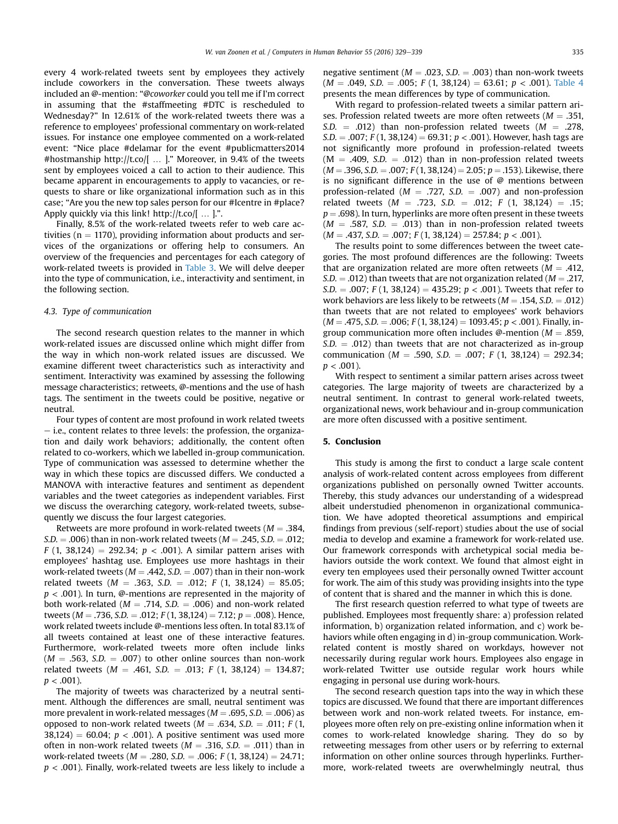every 4 work-related tweets sent by employees they actively include coworkers in the conversation. These tweets always included an @-mention: "@coworker could you tell me if I'm correct in assuming that the #staffmeeting #DTC is rescheduled to Wednesday?" In 12.61% of the work-related tweets there was a reference to employees' professional commentary on work-related issues. For instance one employee commented on a work-related event: "Nice place #delamar for the event #publicmatters2014 #hostmanship http://t.co/[ … ]." Moreover, in 9.4% of the tweets sent by employees voiced a call to action to their audience. This became apparent in encouragements to apply to vacancies, or requests to share or like organizational information such as in this case; "Are you the new top sales person for our #Icentre in #place? Apply quickly via this link! http://t.co/ $[$  ...  $]$ .".

Finally, 8.5% of the work-related tweets refer to web care activities ( $n = 1170$ ), providing information about products and services of the organizations or offering help to consumers. An overview of the frequencies and percentages for each category of work-related tweets is provided in [Table 3](#page-6-0). We will delve deeper into the type of communication, i.e., interactivity and sentiment, in the following section.

#### 4.3. Type of communication

The second research question relates to the manner in which work-related issues are discussed online which might differ from the way in which non-work related issues are discussed. We examine different tweet characteristics such as interactivity and sentiment. Interactivity was examined by assessing the following message characteristics; retweets, @-mentions and the use of hash tags. The sentiment in the tweets could be positive, negative or neutral.

Four types of content are most profound in work related tweets  $-$  i.e., content relates to three levels: the profession, the organization and daily work behaviors; additionally, the content often related to co-workers, which we labelled in-group communication. Type of communication was assessed to determine whether the way in which these topics are discussed differs. We conducted a MANOVA with interactive features and sentiment as dependent variables and the tweet categories as independent variables. First we discuss the overarching category, work-related tweets, subsequently we discuss the four largest categories.

Retweets are more profound in work-related tweets ( $M = .384$ ,  $S.D. = .006$ ) than in non-work related tweets ( $M = .245$ ,  $S.D. = .012$ ;  $F(1, 38, 124) = 292.34$ ;  $p < .001$ ). A similar pattern arises with employees' hashtag use. Employees use more hashtags in their work-related tweets ( $M = .442$ , S.D.  $= .007$ ) than in their non-work related tweets ( $M = .363$ , S.D.  $= .012$ ; F (1, 38,124)  $= 85.05$ ;  $p < .001$ ). In turn, @-mentions are represented in the majority of both work-related ( $M = .714$ , S.D.  $= .006$ ) and non-work related tweets ( $M = .736$ , S.D. = .012;  $F(1, 38, 124) = 7.12$ ;  $p = .008$ ). Hence, work related tweets include @-mentions less often. In total 83.1% of all tweets contained at least one of these interactive features. Furthermore, work-related tweets more often include links  $(M = .563, S.D. = .007)$  to other online sources than non-work related tweets ( $M = .461$ , S.D.  $= .013$ ; F (1, 38,124)  $= 134.87$ ;  $p < .001$ ).

The majority of tweets was characterized by a neutral sentiment. Although the differences are small, neutral sentiment was more prevalent in work-related messages ( $M = .695$ ,  $S.D. = .006$ ) as opposed to non-work related tweets ( $M = .634$ , S.D. = .011; F (1,  $38,124$ ) = 60.04; p < .001). A positive sentiment was used more often in non-work related tweets ( $M = .316$ , S.D.  $= .011$ ) than in work-related tweets ( $M = .280$ , S.D.  $= .006$ ;  $F(1, 38,124) = 24.71$ ;  $p < .001$ ). Finally, work-related tweets are less likely to include a negative sentiment ( $M = .023$ , S.D.  $= .003$ ) than non-work tweets  $(M = .049, S.D. = .005; F (1, 38,124) = 63.61; p < .001)$ . [Table 4](#page-8-0) presents the mean differences by type of communication.

With regard to profession-related tweets a similar pattern arises. Profession related tweets are more often retweets ( $M = .351$ , S.D.  $= .012$ ) than non-profession related tweets ( $M = .278$ ,  $S.D. = .007$ ;  $F(1, 38, 124) = 69.31$ ;  $p < .001$ ). However, hash tags are not significantly more profound in profession-related tweets  $(M = .409, S.D. = .012)$  than in non-profession related tweets  $(M = .396, S.D. = .007; F(1, 38, 124) = 2.05; p = .153)$ . Likewise, there is no significant difference in the use of @ mentions between profession-related ( $M = .727$ , S.D.  $= .007$ ) and non-profession related tweets ( $M = .723$ , S.D.  $= .012$ ; F (1, 38,124)  $= .15$ ;  $p = .698$ ). In turn, hyperlinks are more often present in these tweets  $(M = .587, S.D. = .013)$  than in non-profession related tweets  $(M = .437, S.D. = .007; F(1, 38, 124) = 257.84; p < .001).$ 

The results point to some differences between the tweet categories. The most profound differences are the following: Tweets that are organization related are more often retweets ( $M = .412$ , S.D.  $= .012$ ) than tweets that are not organization related ( $M = .217$ , S.D. = .007; F (1, 38,124) = 435.29;  $p < .001$ ). Tweets that refer to work behaviors are less likely to be retweets ( $M = .154$ , S.D. = .012) than tweets that are not related to employees' work behaviors  $(M = .475, S.D. = .006; F(1, 38, 124) = 1093.45; p < .001$ ). Finally, ingroup communication more often includes  $\mathcal{Q}$ -mention ( $M = .859$ ,  $S.D. = .012$ ) than tweets that are not characterized as in-group communication ( $M = .590$ , S.D. = .007; F (1, 38,124) = 292.34;  $p < .001$ ).

With respect to sentiment a similar pattern arises across tweet categories. The large majority of tweets are characterized by a neutral sentiment. In contrast to general work-related tweets, organizational news, work behaviour and in-group communication are more often discussed with a positive sentiment.

#### 5. Conclusion

This study is among the first to conduct a large scale content analysis of work-related content across employees from different organizations published on personally owned Twitter accounts. Thereby, this study advances our understanding of a widespread albeit understudied phenomenon in organizational communication. We have adopted theoretical assumptions and empirical findings from previous (self-report) studies about the use of social media to develop and examine a framework for work-related use. Our framework corresponds with archetypical social media behaviors outside the work context. We found that almost eight in every ten employees used their personally owned Twitter account for work. The aim of this study was providing insights into the type of content that is shared and the manner in which this is done.

The first research question referred to what type of tweets are published. Employees most frequently share: a) profession related information, b) organization related information, and c) work behaviors while often engaging in d) in-group communication. Workrelated content is mostly shared on workdays, however not necessarily during regular work hours. Employees also engage in work-related Twitter use outside regular work hours while engaging in personal use during work-hours.

The second research question taps into the way in which these topics are discussed. We found that there are important differences between work and non-work related tweets. For instance, employees more often rely on pre-existing online information when it comes to work-related knowledge sharing. They do so by retweeting messages from other users or by referring to external information on other online sources through hyperlinks. Furthermore, work-related tweets are overwhelmingly neutral, thus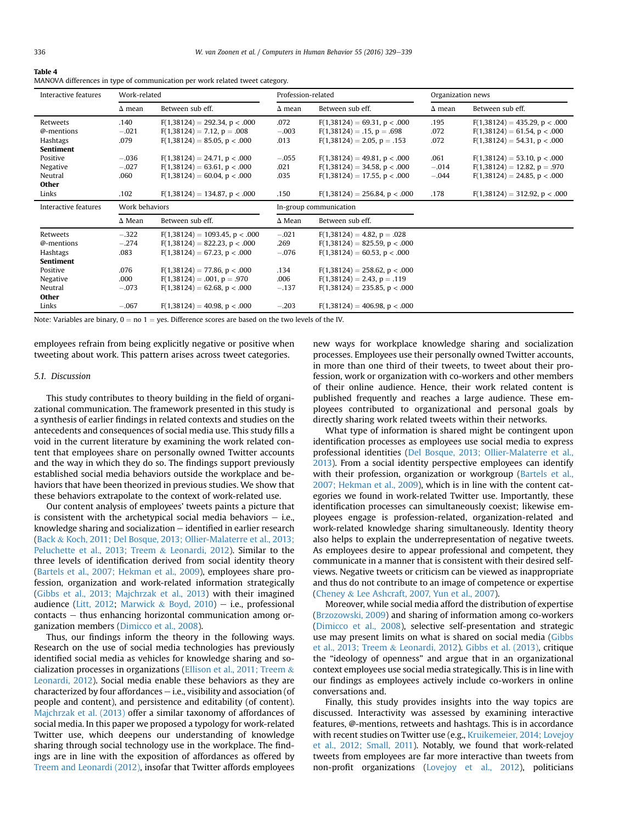### <span id="page-8-0"></span>Table 4

| Interactive features                                                                                      | Work-related   |                                    |                        | Profession-related                 |               | Organization news                  |  |
|-----------------------------------------------------------------------------------------------------------|----------------|------------------------------------|------------------------|------------------------------------|---------------|------------------------------------|--|
|                                                                                                           | $\Delta$ mean  | Between sub eff.                   | $\Delta$ mean          | Between sub eff.                   | $\Delta$ mean | Between sub eff.                   |  |
| Retweets                                                                                                  | .140           | $F(1,38124) = 292.34$ , p < .000   | .072                   | $F(1,38124) = 69.31, p < .000$     | .195          | $F(1,38124) = 435.29$ , p < .000   |  |
| @-mentions                                                                                                | $-.021$        | $F(1,38124) = 7.12$ , $p = .008$   | $-.003$                | $F(1,38124) = .15, p = .698$       | .072          | $F(1,38124) = 61.54$ , p < .000    |  |
| Hashtags                                                                                                  | .079           | $F(1,38124) = 85.05$ , p < .000    | .013                   | $F(1,38124) = 2.05$ , $p = .153$   | .072          | $F(1,38124) = 54.31$ , p < .000    |  |
| <b>Sentiment</b>                                                                                          |                |                                    |                        |                                    |               |                                    |  |
| Positive                                                                                                  | $-.036$        | $F(1,38124) = 24.71$ , $p < .000$  | $-.055$                | $F(1,38124) = 49.81, p < .000$     | .061          | $F(1,38124) = 53,10, p < .000$     |  |
| Negative                                                                                                  | $-.027$        | $F(1,38124) = 63.61, p < .000$     | .021                   | $F(1,38124) = 34.58$ , $p < .000$  | $-.014$       | $F(1,38124) = 12.82, p = .970$     |  |
| Neutral                                                                                                   | .060           | $F(1,38124) = 60.04$ , p < .000    | .035                   | $F(1,38124) = 17.55$ , $p < .000$  | $-.044$       | $F(1,38124) = 24.85$ , p < .000    |  |
| <b>Other</b>                                                                                              |                |                                    |                        |                                    |               |                                    |  |
| Links                                                                                                     | .102           | $F(1,38124) = 134.87, p < .000$    | .150                   | $F(1,38124) = 256.84$ , p < .000   | .178          | $F(1,38124) = 312.92$ , $p < .000$ |  |
| Interactive features                                                                                      | Work behaviors |                                    | In-group communication |                                    |               |                                    |  |
|                                                                                                           | $\Delta$ Mean  | Between sub eff.                   | $\Delta$ Mean          | Between sub eff.                   |               |                                    |  |
| Retweets                                                                                                  | $-.322$        | $F(1,38124) = 1093.45, p < .000$   | $-.021$                | $F(1,38124) = 4.82, p = .028$      |               |                                    |  |
| @-mentions                                                                                                | $-.274$        | $F(1,38124) = 822.23$ , $p < .000$ | .269                   | $F(1,38124) = 825.59$ , p < .000   |               |                                    |  |
| Hashtags                                                                                                  | .083           | $F(1,38124) = 67.23$ , p < .000    | $-.076$                | $F(1,38124) = 60.53$ , p < .000    |               |                                    |  |
| <b>Sentiment</b>                                                                                          |                |                                    |                        |                                    |               |                                    |  |
| Positive                                                                                                  | .076           | $F(1,38124) = 77.86, p < .000$     | .134                   | $F(1,38124) = 258.62$ , $p < .000$ |               |                                    |  |
| Negative                                                                                                  | .000           | $F(1,38124) = .001, p = .970$      | .006                   | $F(1,38124) = 2.43$ , $p = .119$   |               |                                    |  |
| Neutral                                                                                                   | $-.073$        | $F(1,38124) = 62.68$ , p < .000    | $-.137$                | $F(1,38124) = 235.85$ , p < .000   |               |                                    |  |
| <b>Other</b>                                                                                              |                |                                    |                        |                                    |               |                                    |  |
| Links                                                                                                     | $-.067$        | $F(1,38124) = 40.98$ , p < .000    | $-.203$                | $F(1,38124) = 406.98$ , p < .000   |               |                                    |  |
| Note: Variables are binary $0 - p_0 1 - y_0 c$ . Difference scores are based on the two levels of the $W$ |                |                                    |                        |                                    |               |                                    |  |

bles are binary,  $0 =$  no  $1 =$  yes. Difference scores are based on the two levels of the IV.

employees refrain from being explicitly negative or positive when tweeting about work. This pattern arises across tweet categories.

# 5.1. Discussion

This study contributes to theory building in the field of organizational communication. The framework presented in this study is a synthesis of earlier findings in related contexts and studies on the antecedents and consequences of social media use. This study fills a void in the current literature by examining the work related content that employees share on personally owned Twitter accounts and the way in which they do so. The findings support previously established social media behaviors outside the workplace and behaviors that have been theorized in previous studies. We show that these behaviors extrapolate to the context of work-related use.

Our content analysis of employees' tweets paints a picture that is consistent with the archetypical social media behaviors  $-$  i.e., knowledge sharing and socialization  $-$  identified in earlier research ([Back](#page-10-0) & [Koch, 2011; Del Bosque, 2013; Ollier-Malaterre et al., 2013;](#page-10-0) [Peluchette et al., 2013; Treem](#page-10-0) & [Leonardi, 2012](#page-10-0)). Similar to the three levels of identification derived from social identity theory ([Bartels et al., 2007; Hekman et al., 2009](#page-10-0)), employees share profession, organization and work-related information strategically ([Gibbs et al., 2013; Majchrzak et al., 2013](#page-10-0)) with their imagined audience [\(Litt, 2012;](#page-11-0) [Marwick](#page-11-0) & [Boyd, 2010\)](#page-11-0) - i.e., professional  $contacts - thus enhancing horizontal communication among or$ ganization members ([Dimicco et al., 2008\)](#page-10-0).

Thus, our findings inform the theory in the following ways. Research on the use of social media technologies has previously identified social media as vehicles for knowledge sharing and socialization processes in organizations [\(Ellison et al., 2011; Treem](#page-10-0) & [Leonardi, 2012](#page-10-0)). Social media enable these behaviors as they are characterized by four affordances  $-$  i.e., visibility and association (of people and content), and persistence and editability (of content). [Majchrzak et al. \(2013\)](#page-11-0) offer a similar taxonomy of affordances of social media. In this paper we proposed a typology for work-related Twitter use, which deepens our understanding of knowledge sharing through social technology use in the workplace. The findings are in line with the exposition of affordances as offered by [Treem and Leonardi \(2012\)](#page-11-0), insofar that Twitter affords employees new ways for workplace knowledge sharing and socialization processes. Employees use their personally owned Twitter accounts, in more than one third of their tweets, to tweet about their profession, work or organization with co-workers and other members of their online audience. Hence, their work related content is published frequently and reaches a large audience. These employees contributed to organizational and personal goals by directly sharing work related tweets within their networks.

What type of information is shared might be contingent upon identification processes as employees use social media to express professional identities ([Del Bosque, 2013; Ollier-Malaterre et al.,](#page-10-0) [2013\)](#page-10-0). From a social identity perspective employees can identify with their profession, organization or workgroup ([Bartels et al.,](#page-10-0) [2007; Hekman et al., 2009](#page-10-0)), which is in line with the content categories we found in work-related Twitter use. Importantly, these identification processes can simultaneously coexist; likewise employees engage is profession-related, organization-related and work-related knowledge sharing simultaneously. Identity theory also helps to explain the underrepresentation of negative tweets. As employees desire to appear professional and competent, they communicate in a manner that is consistent with their desired selfviews. Negative tweets or criticism can be viewed as inappropriate and thus do not contribute to an image of competence or expertise ([Cheney](#page-10-0) & [Lee Ashcraft, 2007, Yun et al., 2007\)](#page-10-0).

Moreover, while social media afford the distribution of expertise ([Brzozowski, 2009\)](#page-10-0) and sharing of information among co-workers ([Dimicco et al., 2008](#page-10-0)), selective self-presentation and strategic use may present limits on what is shared on social media ([Gibbs](#page-10-0) [et al., 2013; Treem](#page-10-0) & [Leonardi, 2012](#page-10-0)). [Gibbs et al. \(2013\)](#page-10-0), critique the "ideology of openness" and argue that in an organizational context employees use social media strategically. This is in line with our findings as employees actively include co-workers in online conversations and.

Finally, this study provides insights into the way topics are discussed. Interactivity was assessed by examining interactive features, @-mentions, retweets and hashtags. This is in accordance with recent studies on Twitter use (e.g., [Kruikemeier, 2014; Lovejoy](#page-10-0) [et al., 2012; Small, 2011](#page-10-0)). Notably, we found that work-related tweets from employees are far more interactive than tweets from non-profit organizations [\(Lovejoy et al., 2012\)](#page-11-0), politicians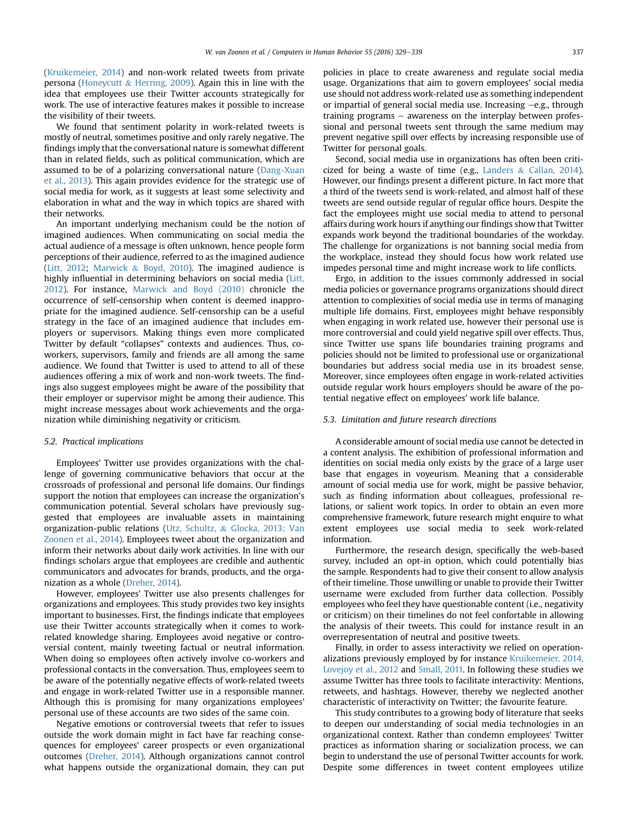([Kruikemeier, 2014](#page-10-0)) and non-work related tweets from private persona ([Honeycutt](#page-10-0) & [Herring, 2009\)](#page-10-0). Again this in line with the idea that employees use their Twitter accounts strategically for work. The use of interactive features makes it possible to increase the visibility of their tweets.

We found that sentiment polarity in work-related tweets is mostly of neutral, sometimes positive and only rarely negative. The findings imply that the conversational nature is somewhat different than in related fields, such as political communication, which are assumed to be of a polarizing conversational nature [\(Dang-Xuan](#page-10-0) [et al., 2013](#page-10-0)). This again provides evidence for the strategic use of social media for work, as it suggests at least some selectivity and elaboration in what and the way in which topics are shared with their networks.

An important underlying mechanism could be the notion of imagined audiences. When communicating on social media the actual audience of a message is often unknown, hence people form perceptions of their audience, referred to as the imagined audience ([Litt, 2012;](#page-11-0) [Marwick](#page-11-0) & [Boyd, 2010\)](#page-11-0). The imagined audience is highly influential in determining behaviors on social media [\(Litt,](#page-11-0) [2012\)](#page-11-0). For instance, [Marwick and Boyd \(2010\)](#page-11-0) chronicle the occurrence of self-censorship when content is deemed inappropriate for the imagined audience. Self-censorship can be a useful strategy in the face of an imagined audience that includes employers or supervisors. Making things even more complicated Twitter by default "collapses" contexts and audiences. Thus, coworkers, supervisors, family and friends are all among the same audience. We found that Twitter is used to attend to all of these audiences offering a mix of work and non-work tweets. The findings also suggest employees might be aware of the possibility that their employer or supervisor might be among their audience. This might increase messages about work achievements and the organization while diminishing negativity or criticism.

#### 5.2. Practical implications

Employees' Twitter use provides organizations with the challenge of governing communicative behaviors that occur at the crossroads of professional and personal life domains. Our findings support the notion that employees can increase the organization's communication potential. Several scholars have previously suggested that employees are invaluable assets in maintaining organization-public relations [\(Utz, Schultz,](#page-11-0) & [Glocka, 2013; Van](#page-11-0) [Zoonen et al., 2014\)](#page-11-0). Employees tweet about the organization and inform their networks about daily work activities. In line with our findings scholars argue that employees are credible and authentic communicators and advocates for brands, products, and the organization as a whole ([Dreher, 2014\)](#page-10-0).

However, employees' Twitter use also presents challenges for organizations and employees. This study provides two key insights important to businesses. First, the findings indicate that employees use their Twitter accounts strategically when it comes to workrelated knowledge sharing. Employees avoid negative or controversial content, mainly tweeting factual or neutral information. When doing so employees often actively involve co-workers and professional contacts in the conversation. Thus, employees seem to be aware of the potentially negative effects of work-related tweets and engage in work-related Twitter use in a responsible manner. Although this is promising for many organizations employees' personal use of these accounts are two sides of the same coin.

Negative emotions or controversial tweets that refer to issues outside the work domain might in fact have far reaching consequences for employees' career prospects or even organizational outcomes ([Dreher, 2014](#page-10-0)). Although organizations cannot control what happens outside the organizational domain, they can put policies in place to create awareness and regulate social media usage. Organizations that aim to govern employees' social media use should not address work-related use as something independent or impartial of general social media use. Increasing  $-e.g.,$  through training programs  $-$  awareness on the interplay between professional and personal tweets sent through the same medium may prevent negative spill over effects by increasing responsible use of Twitter for personal goals.

Second, social media use in organizations has often been criticized for being a waste of time (e.g., [Landers](#page-10-0) & [Callan, 2014\)](#page-10-0). However, our findings present a different picture. In fact more that a third of the tweets send is work-related, and almost half of these tweets are send outside regular of regular office hours. Despite the fact the employees might use social media to attend to personal affairs during work hours if anything our findings show that Twitter expands work beyond the traditional boundaries of the workday. The challenge for organizations is not banning social media from the workplace, instead they should focus how work related use impedes personal time and might increase work to life conflicts.

Ergo, in addition to the issues commonly addressed in social media policies or governance programs organizations should direct attention to complexities of social media use in terms of managing multiple life domains. First, employees might behave responsibly when engaging in work related use, however their personal use is more controversial and could yield negative spill over effects. Thus, since Twitter use spans life boundaries training programs and policies should not be limited to professional use or organizational boundaries but address social media use in its broadest sense. Moreover, since employees often engage in work-related activities outside regular work hours employers should be aware of the potential negative effect on employees' work life balance.

## 5.3. Limitation and future research directions

A considerable amount of social media use cannot be detected in a content analysis. The exhibition of professional information and identities on social media only exists by the grace of a large user base that engages in voyeurism. Meaning that a considerable amount of social media use for work, might be passive behavior, such as finding information about colleagues, professional relations, or salient work topics. In order to obtain an even more comprehensive framework, future research might enquire to what extent employees use social media to seek work-related information.

Furthermore, the research design, specifically the web-based survey, included an opt-in option, which could potentially bias the sample. Respondents had to give their consent to allow analysis of their timeline. Those unwilling or unable to provide their Twitter username were excluded from further data collection. Possibly employees who feel they have questionable content (i.e., negativity or criticism) on their timelines do not feel confortable in allowing the analysis of their tweets. This could for instance result in an overrepresentation of neutral and positive tweets.

Finally, in order to assess interactivity we relied on operationalizations previously employed by for instance [Kruikemeier, 2014,](#page-10-0) [Lovejoy et al., 2012](#page-10-0) and [Small, 2011.](#page-11-0) In following these studies we assume Twitter has three tools to facilitate interactivity: Mentions, retweets, and hashtags. However, thereby we neglected another characteristic of interactivity on Twitter; the favourite feature.

This study contributes to a growing body of literature that seeks to deepen our understanding of social media technologies in an organizational context. Rather than condemn employees' Twitter practices as information sharing or socialization process, we can begin to understand the use of personal Twitter accounts for work. Despite some differences in tweet content employees utilize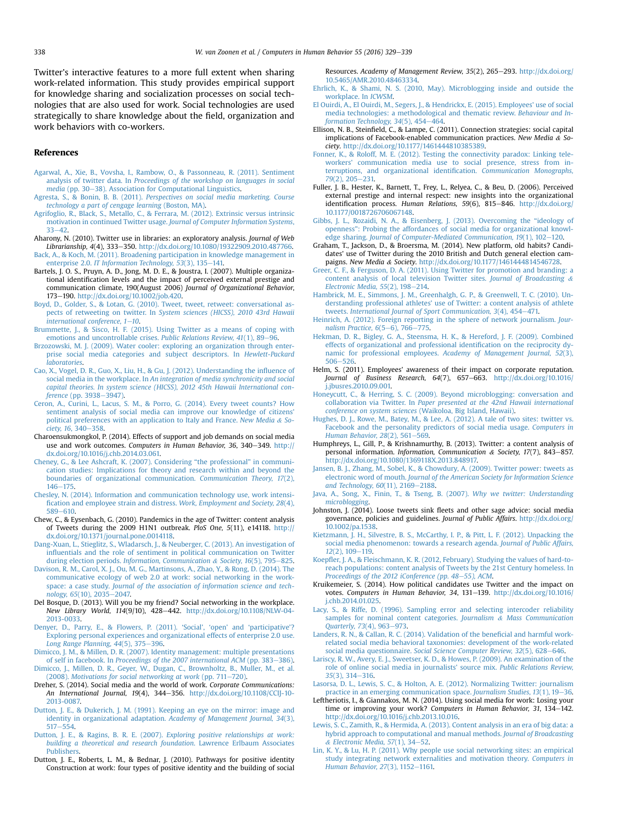<span id="page-10-0"></span>Twitter's interactive features to a more full extent when sharing work-related information. This study provides empirical support for knowledge sharing and socialization processes on social technologies that are also used for work. Social technologies are used strategically to share knowledge about the field, organization and work behaviors with co-workers.

#### References

- [Agarwal, A., Xie, B., Vovsha, I., Rambow, O., & Passonneau, R. \(2011\). Sentiment](http://refhub.elsevier.com/S0747-5632(15)30152-7/sref1) analysis of twitter data. In [Proceedings of the workshop on languages in social](http://refhub.elsevier.com/S0747-5632(15)30152-7/sref1) media [\(pp. 30](http://refhub.elsevier.com/S0747-5632(15)30152-7/sref1)–[38\). Association for Computational Linguistics](http://refhub.elsevier.com/S0747-5632(15)30152-7/sref1).
- Agresta, S., & Bonin, B. B. (2011). [Perspectives on social media marketing. Course](http://refhub.elsevier.com/S0747-5632(15)30152-7/sref2) [technology a part of cengage learning](http://refhub.elsevier.com/S0747-5632(15)30152-7/sref2) (Boston, MA).
- [Agrifoglio, R., Black, S., Metallo, C., & Ferrara, M. \(2012\). Extrinsic versus intrinsic](http://refhub.elsevier.com/S0747-5632(15)30152-7/sref3) motivation in continued Twitter usage. [Journal of Computer Information Systems](http://refhub.elsevier.com/S0747-5632(15)30152-7/sref3),  $33 - 42$  $33 - 42$ .

Aharony, N. (2010). Twitter use in libraries: an exploratory analysis. Journal of Web Librarianship, 4(4), 333-350. <http://dx.doi.org/10.1080/19322909.2010.487766>.

- [Back, A., & Koch, M. \(2011\). Broadening participation in knowledge management in](http://refhub.elsevier.com/S0747-5632(15)30152-7/sref5) enterprise 2.0. IT Information Technology,  $\overline{53}$ (3), 135-[141.](http://refhub.elsevier.com/S0747-5632(15)30152-7/sref5)
- Bartels, J. O. S., Pruyn, A. D., Jong, M. D. E., & Joustra, I. (2007). Multiple organizational identification levels and the impact of perceived external prestige and communication climate, 190(August 2006) Journal of Organizational Behavior, 173-190. [http://dx.doi.org/10.1002/job.420.](http://dx.doi.org/10.1002/job.420)
- [Boyd, D., Golder, S., & Lotan, G. \(2010\). Tweet, tweet, retweet: conversational as](http://refhub.elsevier.com/S0747-5632(15)30152-7/sref7)pects of retweeting on twitter. In [System sciences \(HICSS\), 2010 43rd Hawaii](http://refhub.elsevier.com/S0747-5632(15)30152-7/sref7) international conference,  $1-10$  $1-10$ .
- [Brummette, J., & Sisco, H. F. \(2015\). Using Twitter as a means of coping with](http://refhub.elsevier.com/S0747-5632(15)30152-7/sref8) [emotions and uncontrollable crises.](http://refhub.elsevier.com/S0747-5632(15)30152-7/sref8) Public Relations Review,  $41(1)$ ,  $89-96$ .
- [Brzozowski, M. J. \(2009\). Water cooler: exploring an organization through enter](http://refhub.elsevier.com/S0747-5632(15)30152-7/sref9)[prise social media categories and subject descriptors. In](http://refhub.elsevier.com/S0747-5632(15)30152-7/sref9) Hewlett-Packard [laboratories](http://refhub.elsevier.com/S0747-5632(15)30152-7/sref9).
- [Cao, X., Vogel, D. R., Guo, X., Liu, H., & Gu, J. \(2012\). Understanding the in](http://refhub.elsevier.com/S0747-5632(15)30152-7/sref10)fluence of social media in the workplace. In [An integration of media synchronicity and social](http://refhub.elsevier.com/S0747-5632(15)30152-7/sref10) [capital theories. In system science \(HICSS\), 2012 45th Hawaii International con](http://refhub.elsevier.com/S0747-5632(15)30152-7/sref10) $f$ erence [\(pp. 3938](http://refhub.elsevier.com/S0747-5632(15)30152-7/sref10)-[3947\)](http://refhub.elsevier.com/S0747-5632(15)30152-7/sref10).
- [Ceron, A., Curini, L., Lacus, S. M., & Porro, G. \(2014\). Every tweet counts? How](http://refhub.elsevier.com/S0747-5632(15)30152-7/sref11) [sentiment analysis of social media can improve our knowledge of citizens'](http://refhub.elsevier.com/S0747-5632(15)30152-7/sref11) [political preferences with an application to Italy and France.](http://refhub.elsevier.com/S0747-5632(15)30152-7/sref11) New Media & [So](http://refhub.elsevier.com/S0747-5632(15)30152-7/sref11)[ciety, 16](http://refhub.elsevier.com/S0747-5632(15)30152-7/sref11), 340-[358.](http://refhub.elsevier.com/S0747-5632(15)30152-7/sref11)
- Charoensukmongkol, P. (2014). Effects of support and job demands on social media use and work outcomes. Computers in Human Behavior, 36, 340-349. [http://](http://dx.doi.org/10.1016/j.chb.2014.03.061) [dx.doi.org/10.1016/j.chb.2014.03.061.](http://dx.doi.org/10.1016/j.chb.2014.03.061)
- [Cheney, G., & Lee Ashcraft, K. \(2007\). Considering](http://refhub.elsevier.com/S0747-5632(15)30152-7/sref13) "the professional" in communi[cation studies: Implications for theory and research within and beyond the](http://refhub.elsevier.com/S0747-5632(15)30152-7/sref13) [boundaries of organizational communication.](http://refhub.elsevier.com/S0747-5632(15)30152-7/sref13) Communication Theory, 17(2),  $146 - 175$  $146 - 175$  $146 - 175$ .
- [Chesley, N. \(2014\). Information and communication technology use, work intensi](http://refhub.elsevier.com/S0747-5632(15)30152-7/sref14)fi[cation and employee strain and distress.](http://refhub.elsevier.com/S0747-5632(15)30152-7/sref14) Work, Employment and Society, 28(4),  $589 - 610$  $589 - 610$ .
- Chew, C., & Eysenbach, G. (2010). Pandemics in the age of Twitter: content analysis of Tweets during the 2009 H1N1 outbreak. PloS One, 5(11), e14118. [http://](http://dx.doi.org/10.1371/journal.pone.0014118) [dx.doi.org/10.1371/journal.pone.0014118.](http://dx.doi.org/10.1371/journal.pone.0014118)
- [Dang-Xuan, L., Stieglitz, S., Wladarsch, J., & Neuberger, C. \(2013\). An investigation of](http://refhub.elsevier.com/S0747-5632(15)30152-7/sref16) infl[uentials and the role of sentiment in political communication on Twitter](http://refhub.elsevier.com/S0747-5632(15)30152-7/sref16) during election periods. [Information, Communication](http://refhub.elsevier.com/S0747-5632(15)30152-7/sref16) & [Society, 16](http://refhub.elsevier.com/S0747-5632(15)30152-7/sref16)(5), 795-[825](http://refhub.elsevier.com/S0747-5632(15)30152-7/sref16).
- [Davison, R. M., Carol, X. J., Ou, M. G., Martinsons, A., Zhao, Y., & Rong, D. \(2014\). The](http://refhub.elsevier.com/S0747-5632(15)30152-7/sref17) [communicative ecology of web 2.0 at work: social networking in the work](http://refhub.elsevier.com/S0747-5632(15)30152-7/sref17)space: a case study. [Journal of the association of information science and tech](http://refhub.elsevier.com/S0747-5632(15)30152-7/sref17) $n$ ology, 65[\(10\), 2035](http://refhub.elsevier.com/S0747-5632(15)30152-7/sref17)–[2047.](http://refhub.elsevier.com/S0747-5632(15)30152-7/sref17)
- Del Bosque, D. (2013). Will you be my friend? Social networking in the workplace. New Library World, 114(9/10), 428-442. [http://dx.doi.org/10.1108/NLW-04-](http://dx.doi.org/10.1108/NLW-04-2013-0033) [2013-0033](http://dx.doi.org/10.1108/NLW-04-2013-0033).
- [Denyer, D., Parry, E., & Flowers, P. \(2011\).](http://refhub.elsevier.com/S0747-5632(15)30152-7/sref19) 'Social', 'open' and 'participative'? [Exploring personal experiences and organizational effects of enterprise 2.0 use.](http://refhub.elsevier.com/S0747-5632(15)30152-7/sref19) Long Range Planning,  $44(5)$ , 375-[396](http://refhub.elsevier.com/S0747-5632(15)30152-7/sref19).
- [Dimicco, J. M., & Millen, D. R. \(2007\). Identity management: multiple presentations](http://refhub.elsevier.com/S0747-5632(15)30152-7/sref20) of self in facebook. In [Proceedings of the 2007 international ACM](http://refhub.elsevier.com/S0747-5632(15)30152-7/sref20) (pp. 383-[386\)](http://refhub.elsevier.com/S0747-5632(15)30152-7/sref20). [Dimicco, J., Millen, D. R., Geyer, W., Dugan, C., Brownholtz, B., Muller, M., et al.](http://refhub.elsevier.com/S0747-5632(15)30152-7/sref21)
- (2008). [Motivations for social networking at work](http://refhub.elsevier.com/S0747-5632(15)30152-7/sref21) (pp. 711-[720\)](http://refhub.elsevier.com/S0747-5632(15)30152-7/sref21). Dreher, S. (2014). Social media and the world of work. Corporate Communications:
- An International Journal, 19(4), 344-356. [http://dx.doi.org/10.1108/CCIJ-10-](http://dx.doi.org/10.1108/CCIJ-10-2013-0087) [2013-0087.](http://dx.doi.org/10.1108/CCIJ-10-2013-0087)
- [Dutton, J. E., & Dukerich, J. M. \(1991\). Keeping an eye on the mirror: image and](http://refhub.elsevier.com/S0747-5632(15)30152-7/sref23) [identity in organizational adaptation.](http://refhub.elsevier.com/S0747-5632(15)30152-7/sref23) Academy of Management Journal, 34(3),  $517 - 554.$  $517 - 554.$  $517 - 554.$  $517 - 554.$
- [Dutton, J. E., & Ragins, B. R. E. \(2007\).](http://refhub.elsevier.com/S0747-5632(15)30152-7/sref24) Exploring positive relationships at work: [building a theoretical and research foundation](http://refhub.elsevier.com/S0747-5632(15)30152-7/sref24). Lawrence Erlbaum Associates [Publishers](http://refhub.elsevier.com/S0747-5632(15)30152-7/sref24).
- Dutton, J. E., Roberts, L. M., & Bednar, J. (2010). Pathways for positive identity Construction at work: four types of positive identity and the building of social

Resources. Academy of Management Review, 35(2), 265-293. [http://dx.doi.org/](http://dx.doi.org/10.5465/AMR.2010.48463334) [10.5465/AMR.2010.48463334](http://dx.doi.org/10.5465/AMR.2010.48463334).

- [Ehrlich, K., & Shami, N. S. \(2010, May\). Microblogging inside and outside the](http://refhub.elsevier.com/S0747-5632(15)30152-7/sref26) [workplace. In](http://refhub.elsevier.com/S0747-5632(15)30152-7/sref26) ICWSM.
- [El Ouirdi, A., El Ouirdi, M., Segers, J., & Hendrickx, E. \(2015\). Employees' use of social](http://refhub.elsevier.com/S0747-5632(15)30152-7/sref27) [media technologies: a methodological and thematic review.](http://refhub.elsevier.com/S0747-5632(15)30152-7/sref27) Behaviour and Information Technology,  $34(5)$ ,  $454-464$ .
- Ellison, N. B., Steinfield, C., & Lampe, C. (2011). Connection strategies: social capital implications of Facebook-enabled communication practices. New Media & Society. <http://dx.doi.org/10.1177/1461444810385389>.
- [Fonner, K., & Roloff, M. E. \(2012\). Testing the connectivity paradox: Linking tele](http://refhub.elsevier.com/S0747-5632(15)30152-7/sref29)[workers' communication media use to social presence, stress from in](http://refhub.elsevier.com/S0747-5632(15)30152-7/sref29)[terruptions, and organizational identi](http://refhub.elsevier.com/S0747-5632(15)30152-7/sref29)fication. Communication Monographs,  $79(2)$ ,  $205 - 231$ .
- Fuller, J. B., Hester, K., Barnett, T., Frey, L., Relyea, C., & Beu, D. (2006). Perceived external prestige and internal respect: new insights into the organizational identification process. Human Relations, 59(6), 815–846. [http://dx.doi.org/](http://dx.doi.org/10.1177/0018726706067148) [10.1177/0018726706067148.](http://dx.doi.org/10.1177/0018726706067148)
- [Gibbs, J. L., Rozaidi, N. A., & Eisenberg, J. \(2013\). Overcoming the](http://refhub.elsevier.com/S0747-5632(15)30152-7/sref31) "ideology of openness"[: Probing the affordances of social media for organizational knowl-](http://refhub.elsevier.com/S0747-5632(15)30152-7/sref31)edge sharing. [Journal of Computer-Mediated Communication, 19](http://refhub.elsevier.com/S0747-5632(15)30152-7/sref31)(1), 102-[120.](http://refhub.elsevier.com/S0747-5632(15)30152-7/sref31)
- Graham, T., Jackson, D., & Broersma, M. (2014). New platform, old habits? Candidates' use of Twitter during the 2010 British and Dutch general election campaigns. New Media & Society. [http://dx.doi.org/10.1177/1461444814546728.](http://dx.doi.org/10.1177/1461444814546728)
- [Greer, C. F., & Ferguson, D. A. \(2011\). Using Twitter for promotion and branding: a](http://refhub.elsevier.com/S0747-5632(15)30152-7/sref34) [content analysis of local television Twitter sites.](http://refhub.elsevier.com/S0747-5632(15)30152-7/sref34) Journal of Broadcasting & [Electronic Media, 55](http://refhub.elsevier.com/S0747-5632(15)30152-7/sref34)(2), 198-[214.](http://refhub.elsevier.com/S0747-5632(15)30152-7/sref34)
- [Hambrick, M. E., Simmons, J. M., Greenhalgh, G. P., & Greenwell, T. C. \(2010\). Un](http://refhub.elsevier.com/S0747-5632(15)30152-7/sref35)[derstanding professional athletes' use of Twitter: a content analysis of athlete](http://refhub.elsevier.com/S0747-5632(15)30152-7/sref35) tweets. [International Journal of Sport Communication, 3](http://refhub.elsevier.com/S0747-5632(15)30152-7/sref35)(4), 454-[471.](http://refhub.elsevier.com/S0747-5632(15)30152-7/sref35)
- [Heinrich, A. \(2012\). Foreign reporting in the sphere of network journalism.](http://refhub.elsevier.com/S0747-5632(15)30152-7/sref36) Jour[nalism Practice, 6](http://refhub.elsevier.com/S0747-5632(15)30152-7/sref36)(5-[6\), 766](http://refhub.elsevier.com/S0747-5632(15)30152-7/sref36)-[775.](http://refhub.elsevier.com/S0747-5632(15)30152-7/sref36)
- [Hekman, D. R., Bigley, G. A., Steensma, H. K., & Hereford, J. F. \(2009\). Combined](http://refhub.elsevier.com/S0747-5632(15)30152-7/sref37) [effects of organizational and professional identi](http://refhub.elsevier.com/S0747-5632(15)30152-7/sref37)fication on the reciprocity dynamic for professional employees. [Academy of Management Journal, 52](http://refhub.elsevier.com/S0747-5632(15)30152-7/sref37)(3), [506](http://refhub.elsevier.com/S0747-5632(15)30152-7/sref37)-526
- Helm, S. (2011). Employees' awareness of their impact on corporate reputation. Journal of Business Research, 64(7), 657-663. [http://dx.doi.org/10.1016/](http://dx.doi.org/10.1016/j.jbusres.2010.09.001) [j.jbusres.2010.09.001.](http://dx.doi.org/10.1016/j.jbusres.2010.09.001)
- [Honeycutt, C., & Herring, S. C. \(2009\). Beyond microblogging: conversation and](http://refhub.elsevier.com/S0747-5632(15)30152-7/sref39) collaboration via Twitter. In [Paper presented at the 42nd Hawaii international](http://refhub.elsevier.com/S0747-5632(15)30152-7/sref39) conference on system sciences [\(Waikoloa, Big Island, Hawaii\).](http://refhub.elsevier.com/S0747-5632(15)30152-7/sref39)
- [Hughes, D. J., Rowe, M., Batey, M., & Lee, A. \(2012\). A tale of two sites: twitter vs.](http://refhub.elsevier.com/S0747-5632(15)30152-7/sref40) [Facebook and the personality predictors of social media usage.](http://refhub.elsevier.com/S0747-5632(15)30152-7/sref40) Computers in Human Behavior,  $28(2)$ , 561-[569](http://refhub.elsevier.com/S0747-5632(15)30152-7/sref40).
- Humphreys, L., Gill, P., & Krishnamurthy, B. (2013). Twitter: a content analysis of personal information. Information, Communication & Society, 17(7), 843-857. [http://dx.doi.org/10.1080/1369118X.2013.848917.](http://dx.doi.org/10.1080/1369118X.2013.848917)
- [Jansen, B. J., Zhang, M., Sobel, K., & Chowdury, A. \(2009\). Twitter power: tweets as](http://refhub.elsevier.com/S0747-5632(15)30152-7/sref42) electronic word of mouth. [Journal of the American Society for Information Science](http://refhub.elsevier.com/S0747-5632(15)30152-7/sref42) [and Technology, 60](http://refhub.elsevier.com/S0747-5632(15)30152-7/sref42)(11), 2169-[2188](http://refhub.elsevier.com/S0747-5632(15)30152-7/sref42).
- [Java, A., Song, X., Finin, T., & Tseng, B. \(2007\).](http://refhub.elsevier.com/S0747-5632(15)30152-7/sref43) Why we twitter: Understanding [microblogging](http://refhub.elsevier.com/S0747-5632(15)30152-7/sref43).
- Johnston, J. (2014). Loose tweets sink fleets and other sage advice: social media governance, policies and guidelines. Journal of Public Affairs. [http://dx.doi.org/](http://dx.doi.org/10.1002/pa.1538) [10.1002/pa.1538](http://dx.doi.org/10.1002/pa.1538).
- [Kietzmann, J. H., Silvestre, B. S., McCarthy, I. P., & Pitt, L. F. \(2012\). Unpacking the](http://refhub.elsevier.com/S0747-5632(15)30152-7/sref45) [social media phenomenon: towards a research agenda.](http://refhub.elsevier.com/S0747-5632(15)30152-7/sref45) Journal of Public Affairs,  $12(2)$ ,  $109-119$ .
- Koepfl[er, J. A., & Fleischmann, K. R. \(2012, February\). Studying the values of hard-to](http://refhub.elsevier.com/S0747-5632(15)30152-7/sref46)[reach populations: content analysis of Tweets by the 21st Century homeless. In](http://refhub.elsevier.com/S0747-5632(15)30152-7/sref46) [Proceedings of the 2012 iConference \(pp. 48](http://refhub.elsevier.com/S0747-5632(15)30152-7/sref46)-[55\), ACM](http://refhub.elsevier.com/S0747-5632(15)30152-7/sref46).
- Kruikemeier, S. (2014). How political candidates use Twitter and the impact on votes. Computers in Human Behavior, 34, 131-139. [http://dx.doi.org/10.1016/](http://dx.doi.org/10.1016/j.chb.2014.01.025) [j.chb.2014.01.025.](http://dx.doi.org/10.1016/j.chb.2014.01.025)
- [Lacy, S., & Riffe, D. \(1996\). Sampling error and selecting intercoder reliability](http://refhub.elsevier.com/S0747-5632(15)30152-7/sref48) [samples for nominal content categories.](http://refhub.elsevier.com/S0747-5632(15)30152-7/sref48) Journalism & [Mass Communication](http://refhub.elsevier.com/S0747-5632(15)30152-7/sref48) [Quarterly, 73](http://refhub.elsevier.com/S0747-5632(15)30152-7/sref48)(4), 963-[973.](http://refhub.elsevier.com/S0747-5632(15)30152-7/sref48)
- [Landers, R. N., & Callan, R. C. \(2014\). Validation of the bene](http://refhub.elsevier.com/S0747-5632(15)30152-7/sref49)ficial and harmful work[related social media behavioral taxonomies: development of the work-related](http://refhub.elsevier.com/S0747-5632(15)30152-7/sref49) social media questionnaire. [Social Science Computer Review, 32](http://refhub.elsevier.com/S0747-5632(15)30152-7/sref49)(5), 628-[646.](http://refhub.elsevier.com/S0747-5632(15)30152-7/sref49)
- [Lariscy, R. W., Avery, E. J., Sweetser, K. D., & Howes, P. \(2009\). An examination of the](http://refhub.elsevier.com/S0747-5632(15)30152-7/sref50) [role of online social media in journalists' source mix.](http://refhub.elsevier.com/S0747-5632(15)30152-7/sref50) Public Relations Review,  $35(3)$ ,  $314-316$ .
- [Lasorsa, D. L., Lewis, S. C., & Holton, A. E. \(2012\). Normalizing Twitter: journalism](http://refhub.elsevier.com/S0747-5632(15)30152-7/sref51) [practice in an emerging communication space.](http://refhub.elsevier.com/S0747-5632(15)30152-7/sref51) Journalism Studies,  $13(1)$ ,  $19-36$  $19-36$ .
- Leftheriotis, I., & Giannakos, M. N. (2014). Using social media for work: Losing your time or improving your work? Computers in Human Behavior, 31, 134-142. [http://dx.doi.org/10.1016/j.chb.2013.10.016.](http://dx.doi.org/10.1016/j.chb.2013.10.016)
- [Lewis, S. C., Zamith, R., & Hermida, A. \(2013\). Content analysis in an era of big data: a](http://refhub.elsevier.com/S0747-5632(15)30152-7/sref53) [hybrid approach to computational and manual methods.](http://refhub.elsevier.com/S0747-5632(15)30152-7/sref53) Journal of Broadcasting
- & [Electronic Media, 57](http://refhub.elsevier.com/S0747-5632(15)30152-7/sref53)(1), 34–[52](http://refhub.elsevier.com/S0747-5632(15)30152-7/sref53).<br>[Lin, K. Y., & Lu, H. P. \(2011\). Why people use social networking sites: an empirical](http://refhub.elsevier.com/S0747-5632(15)30152-7/sref92) [study integrating network externalities and motivation theory.](http://refhub.elsevier.com/S0747-5632(15)30152-7/sref92) Computers in [Human Behavior, 27](http://refhub.elsevier.com/S0747-5632(15)30152-7/sref92)(3), 1152-[1161.](http://refhub.elsevier.com/S0747-5632(15)30152-7/sref92)